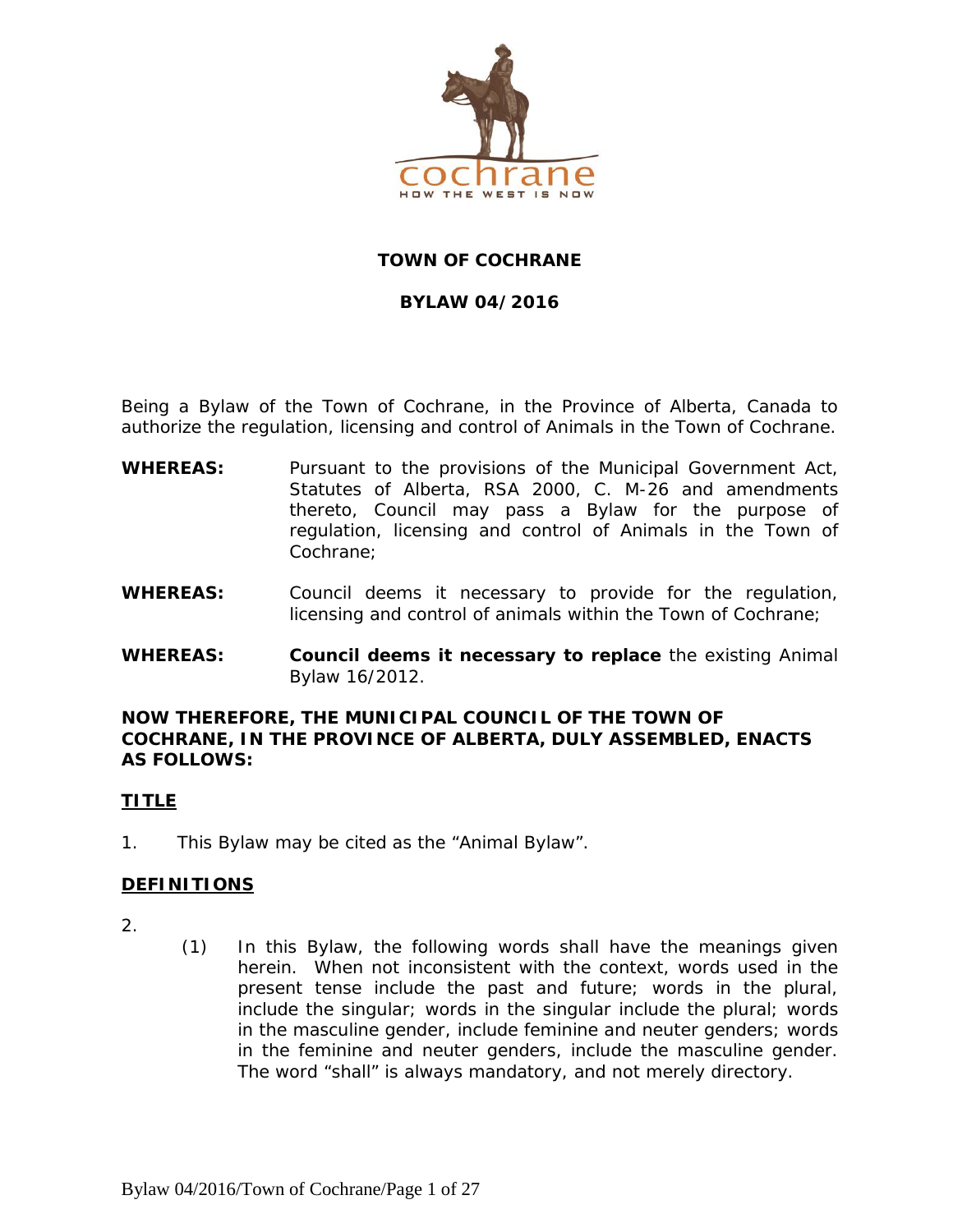

# **TOWN OF COCHRANE**

# **BYLAW 04/2016**

Being a Bylaw of the Town of Cochrane, in the Province of Alberta, Canada to authorize the regulation, licensing and control of Animals in the Town of Cochrane.

- **WHEREAS:** Pursuant to the provisions of the *Municipal Government Act, Statutes of Alberta, RSA 2000, C. M-26 and amendments thereto, Council may pass a Bylaw for the purpose of regulation, licensing and control of Animals in the Town of Cochrane;*
- **WHEREAS:** Council deems it necessary to provide for the regulation, licensing and control of animals within the Town of Cochrane;
- **WHEREAS: Council deems it necessary to replace** the existing Animal Bylaw 16/2012.

#### **NOW THEREFORE, THE MUNICIPAL COUNCIL OF THE TOWN OF COCHRANE, IN THE PROVINCE OF ALBERTA, DULY ASSEMBLED, ENACTS AS FOLLOWS:**

#### **TITLE**

1. This Bylaw may be cited as the "Animal Bylaw".

# **DEFINITIONS**

- 2.
- (1) In this Bylaw, the following words shall have the meanings given herein. When not inconsistent with the context, words used in the present tense include the past and future; words in the plural, include the singular; words in the singular include the plural; words in the masculine gender, include feminine and neuter genders; words in the feminine and neuter genders, include the masculine gender. The word "shall" is always mandatory, and not merely directory.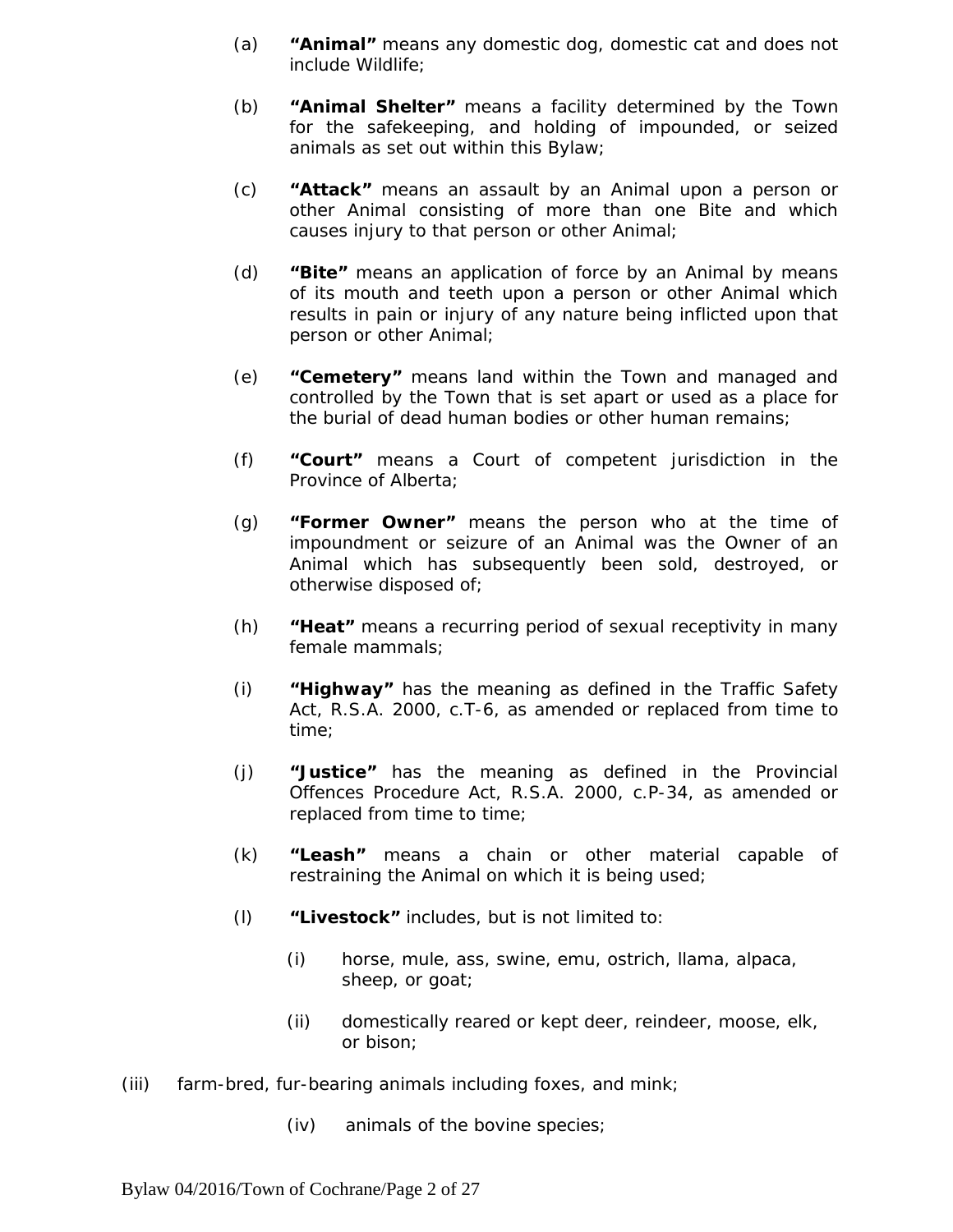- (a) **"Animal"** means any domestic dog, domestic cat and does not include Wildlife;
- (b) **"Animal Shelter"** means a facility determined by the Town for the safekeeping, and holding of impounded, or seized animals as set out within this Bylaw;
- (c) **"Attack"** means an assault by an Animal upon a person or other Animal consisting of more than one Bite and which causes injury to that person or other Animal;
- (d) **"Bite"** means an application of force by an Animal by means of its mouth and teeth upon a person or other Animal which results in pain or injury of any nature being inflicted upon that person or other Animal;
- (e) **"Cemetery"** means land within the Town and managed and controlled by the Town that is set apart or used as a place for the burial of dead human bodies or other human remains;
- (f) **"Court"** means a Court of competent jurisdiction in the Province of Alberta;
- (g) **"Former Owner"** means the person who at the time of impoundment or seizure of an Animal was the Owner of an Animal which has subsequently been sold, destroyed, or otherwise disposed of;
- (h) **"Heat"** means a recurring period of sexual receptivity in many female mammals;
- (i) **"Highway"** has the meaning as defined in the *Traffic Safety Act*, R.S.A. 2000, c.T-6, as amended or replaced from time to time;
- (j) *"***Justice***"* has the meaning as defined in the *Provincial Offences Procedure Act*, R.S.A. 2000, c.P-34, as amended or replaced from time to time;
- (k) *"***Leash***"* means a chain or other material capable of restraining the Animal on which it is being used;
- (l) *"***Livestock***"* includes, but is not limited to:
	- (i) horse, mule, ass, swine, emu, ostrich, llama, alpaca, sheep, or goat;
	- (ii) domestically reared or kept deer, reindeer, moose, elk, or bison;
- (iii) farm-bred, fur-bearing animals including foxes, and mink;
	- (iv) animals of the bovine species;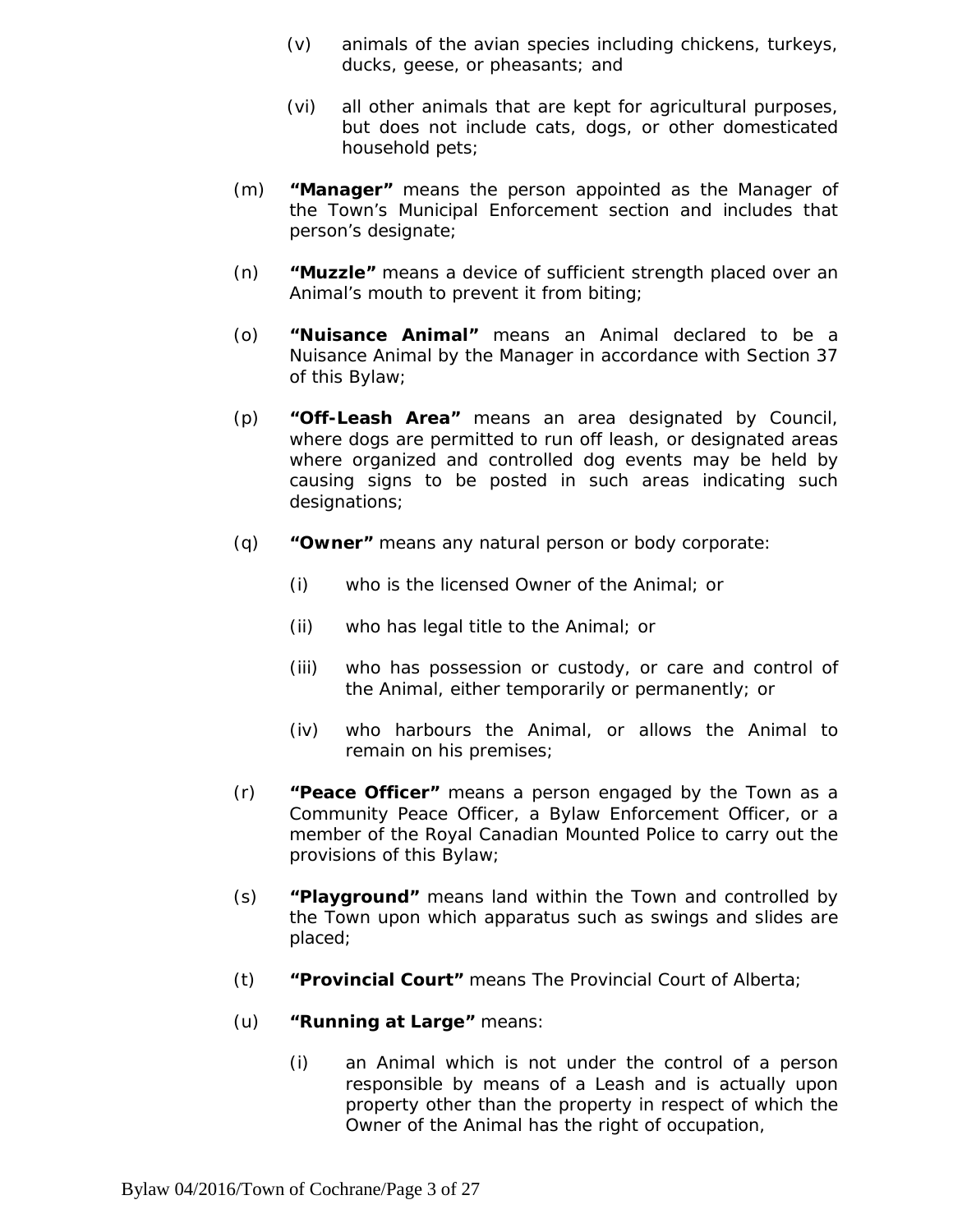- (v) animals of the avian species including chickens, turkeys, ducks, geese, or pheasants; and
- (vi) all other animals that are kept for agricultural purposes, but does not include cats, dogs, or other domesticated household pets;
- (m) **"Manager"** means the person appointed as the Manager of the Town's Municipal Enforcement section and includes that person's designate;
- (n) **"Muzzle"** means a device of sufficient strength placed over an Animal's mouth to prevent it from biting;
- (o) *"***Nuisance Animal"** means an Animal declared to be a Nuisance Animal by the Manager in accordance with Section 37 of this Bylaw;
- (p) **"Off-Leash Area"** means an area designated by Council, where dogs are permitted to run off leash, or designated areas where organized and controlled dog events may be held by causing signs to be posted in such areas indicating such designations;
- (q) **"Owner"** means any natural person or body corporate:
	- (i) who is the licensed Owner of the Animal; or
	- (ii) who has legal title to the Animal; or
	- (iii) who has possession or custody, or care and control of the Animal, either temporarily or permanently; or
	- (iv) who harbours the Animal, or allows the Animal to remain on his premises;
- (r) **"Peace Officer"** means a person engaged by the Town as a Community Peace Officer, a Bylaw Enforcement Officer, or a member of the Royal Canadian Mounted Police to carry out the provisions of this Bylaw;
- (s) **"Playground"** means land within the Town and controlled by the Town upon which apparatus such as swings and slides are placed;
- (t) **"Provincial Court"** means The Provincial Court of Alberta;
- (u) **"Running at Large"** means:
	- (i) an Animal which is not under the control of a person responsible by means of a Leash and is actually upon property other than the property in respect of which the Owner of the Animal has the right of occupation,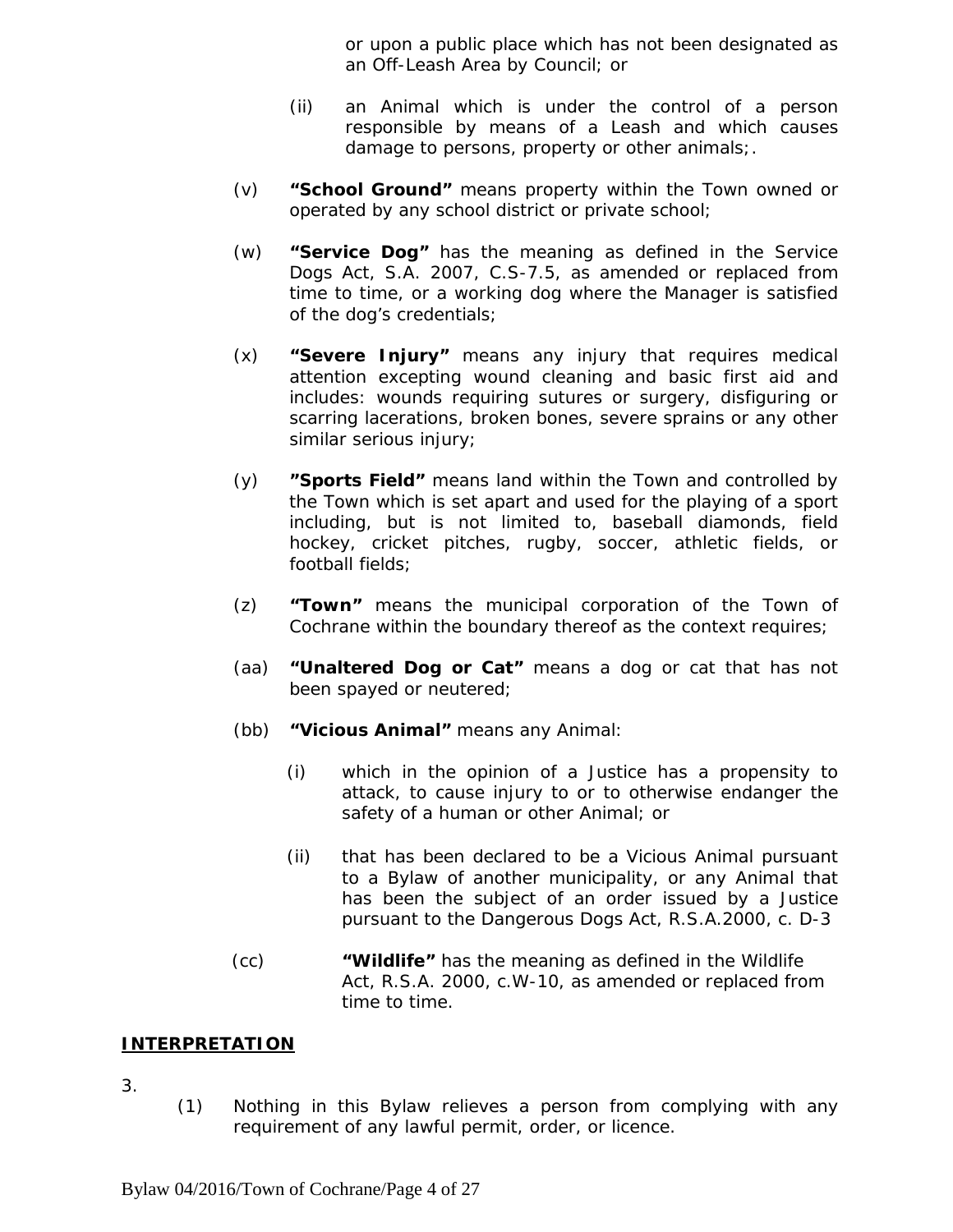or upon a public place which has not been designated as an Off-Leash Area by Council*;* or

- (ii) an Animal which is under the control of a person responsible by means of a Leash and which causes damage to persons, property or other animals;.
- (v) **"School Ground"** means property within the Town owned or operated by any school district or private school;
- (w) **"Service Dog"** has the meaning as defined in the *Service Dogs Act*, S.A. 2007, C.S-7.5, as amended or replaced from time to time, or a working dog where the Manager is satisfied of the dog's credentials;
- (x) **"Severe Injury"** means any injury that requires medical attention excepting wound cleaning and basic first aid and includes: wounds requiring sutures or surgery, disfiguring or scarring lacerations, broken bones, severe sprains or any other similar serious injury;
- (y) **"Sports Field"** means land within the Town and controlled by the Town which is set apart and used for the playing of a sport including, but is not limited to, baseball diamonds, field hockey, cricket pitches, rugby, soccer, athletic fields, or football fields;
- (z) **"Town"** means the municipal corporation of the Town of Cochrane within the boundary thereof as the context requires;
- (aa) **"Unaltered Dog or Cat"** means a dog or cat that has not been spayed or neutered;
- (bb) **"Vicious Animal"** means any Animal:
	- (i) which in the opinion of a Justice has a propensity to attack, to cause injury to or to otherwise endanger the safety of a human or other Animal; or
	- (ii) that has been declared to be a Vicious Animal pursuant to a Bylaw of another municipality, or any Animal that has been the subject of an order issued by a Justice pursuant to the *Dangerous Dogs Act*, R.S.A.2000, c. D-3
- (cc) **"Wildlife"** has the meaning as defined in the *Wildlife Act*, R.S.A. 2000, c.W-10, as amended or replaced from time to time.

# **INTERPRETATION**

- 3.
- (1) Nothing in this Bylaw relieves a person from complying with any requirement of any lawful permit, order, or licence.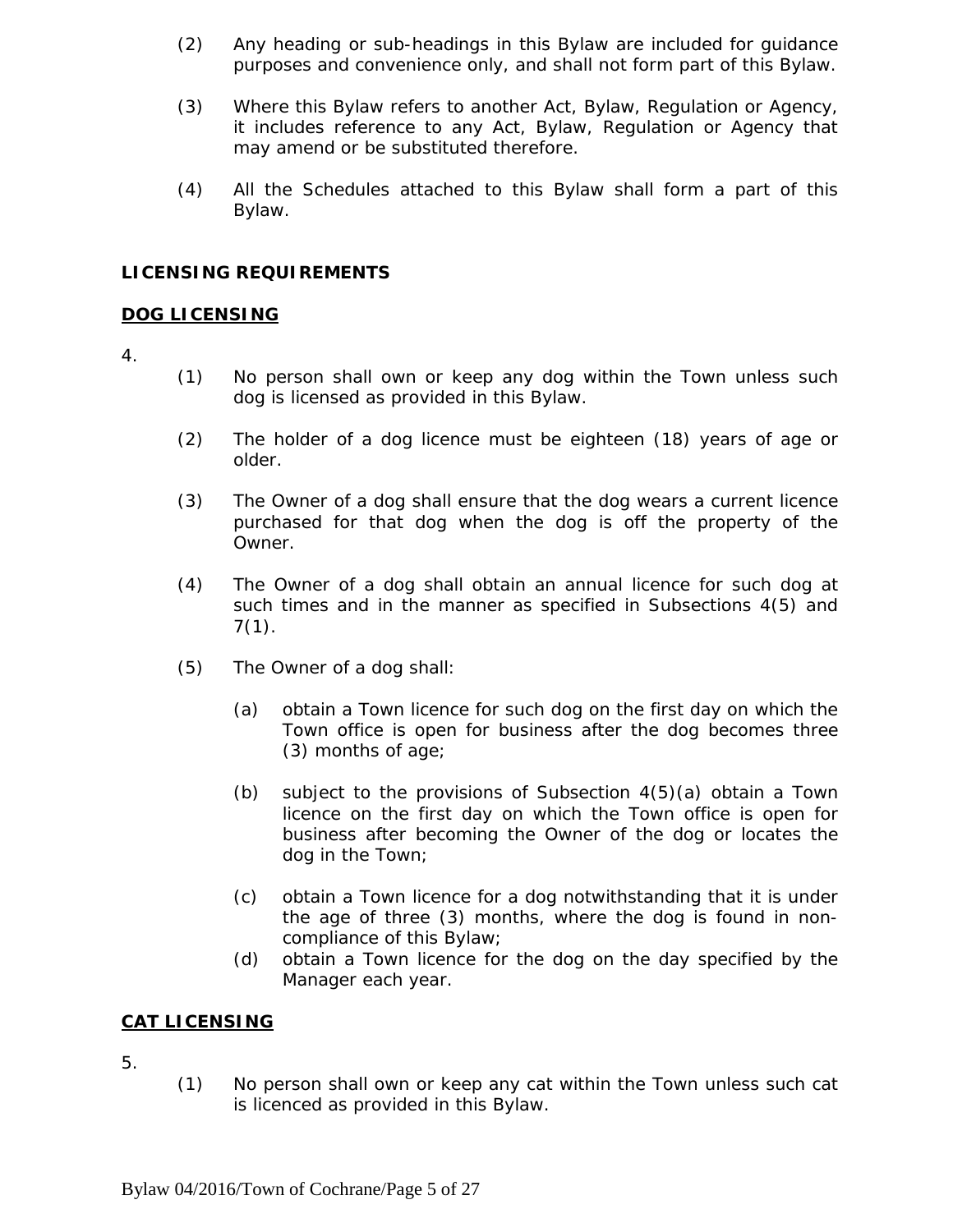- (2) Any heading or sub-headings in this Bylaw are included for guidance purposes and convenience only, and shall not form part of this Bylaw.
- (3) Where this Bylaw refers to another Act, Bylaw, Regulation or Agency, it includes reference to any Act, Bylaw, Regulation or Agency that may amend or be substituted therefore.
- (4) All the Schedules attached to this Bylaw shall form a part of this Bylaw.

# **LICENSING REQUIREMENTS**

#### **DOG LICENSING**

- 4.
- (1) No person shall own or keep any dog within the Town unless such dog is licensed as provided in this Bylaw.
- (2) The holder of a dog licence must be eighteen (18) years of age or older.
- (3) The Owner of a dog shall ensure that the dog wears a current licence purchased for that dog when the dog is off the property of the Owner.
- (4) The Owner of a dog shall obtain an annual licence for such dog at such times and in the manner as specified in Subsections 4(5) and  $7(1)$ .
- (5) The Owner of a dog shall:
	- (a) obtain a Town licence for such dog on the first day on which the Town office is open for business after the dog becomes three (3) months of age;
	- (b) subject to the provisions of Subsection 4(5)(a) obtain a Town licence on the first day on which the Town office is open for business after becoming the Owner of the dog or locates the dog in the Town;
	- (c) obtain a Town licence for a dog notwithstanding that it is under the age of three (3) months, where the dog is found in noncompliance of this Bylaw;
	- (d) obtain a Town licence for the dog on the day specified by the Manager each year.

#### **CAT LICENSING**

- 5.
- (1) No person shall own or keep any cat within the Town unless such cat is licenced as provided in this Bylaw.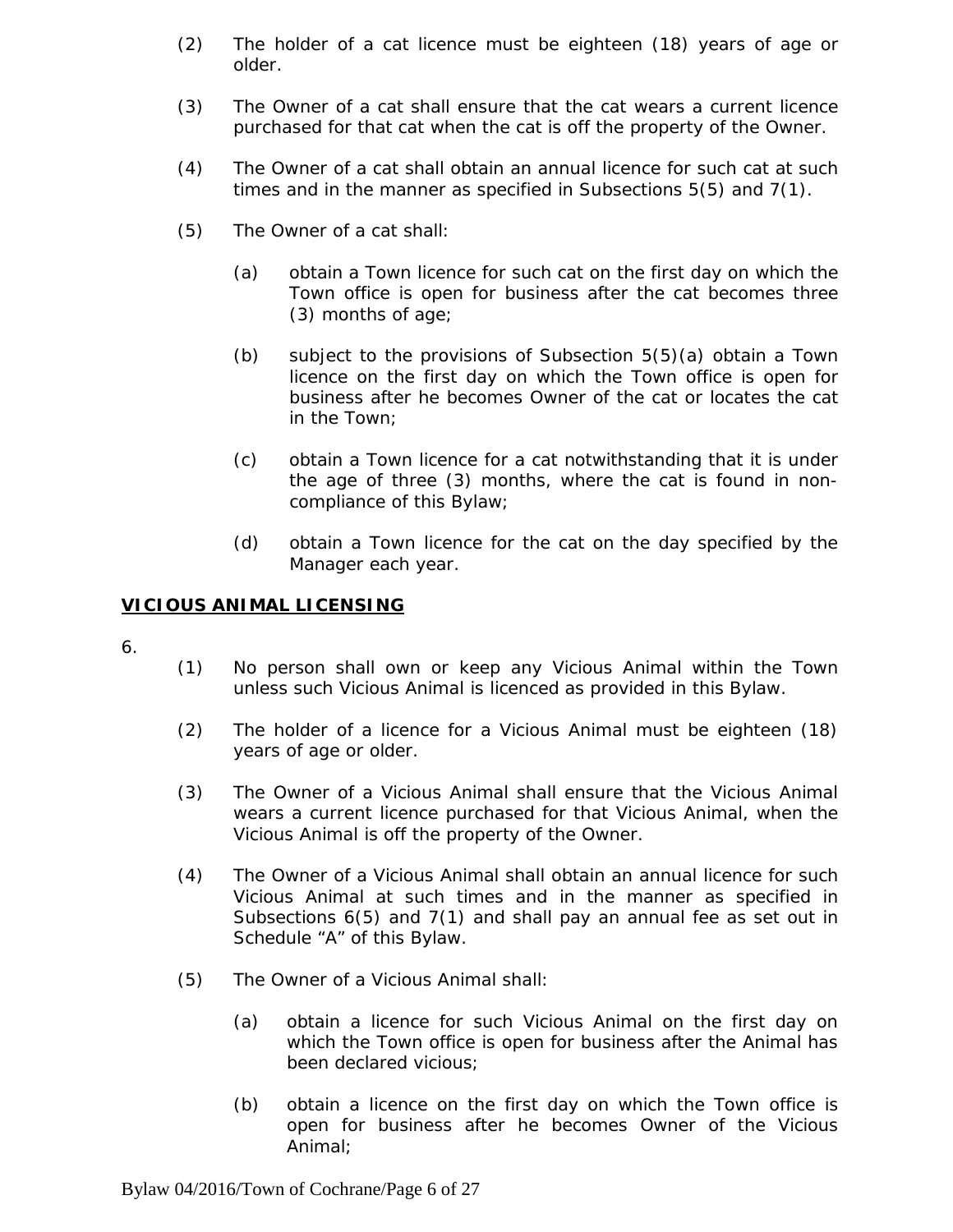- (2) The holder of a cat licence must be eighteen (18) years of age or older.
- (3) The Owner of a cat shall ensure that the cat wears a current licence purchased for that cat when the cat is off the property of the Owner.
- (4) The Owner of a cat shall obtain an annual licence for such cat at such times and in the manner as specified in Subsections 5(5) and 7(1).
- (5) The Owner of a cat shall:
	- (a) obtain a Town licence for such cat on the first day on which the Town office is open for business after the cat becomes three (3) months of age;
	- (b) subject to the provisions of Subsection 5(5)(a) obtain a Town licence on the first day on which the Town office is open for business after he becomes Owner of the cat or locates the cat in the Town;
	- (c) obtain a Town licence for a cat notwithstanding that it is under the age of three (3) months, where the cat is found in noncompliance of this Bylaw;
	- (d) obtain a Town licence for the cat on the day specified by the Manager each year.

#### **VICIOUS ANIMAL LICENSING**

- 6.
- (1) No person shall own or keep any Vicious Animal within the Town unless such Vicious Animal is licenced as provided in this Bylaw.
- (2) The holder of a licence for a Vicious Animal must be eighteen (18) years of age or older.
- (3) The Owner of a Vicious Animal shall ensure that the Vicious Animal wears a current licence purchased for that Vicious Animal, when the Vicious Animal is off the property of the Owner.
- (4) The Owner of a Vicious Animal shall obtain an annual licence for such Vicious Animal at such times and in the manner as specified in Subsections 6(5) and 7(1) and shall pay an annual fee as set out in Schedule "A" of this Bylaw.
- (5) The Owner of a Vicious Animal shall:
	- (a) obtain a licence for such Vicious Animal on the first day on which the Town office is open for business after the Animal has been declared vicious;
	- (b) obtain a licence on the first day on which the Town office is open for business after he becomes Owner of the Vicious Animal;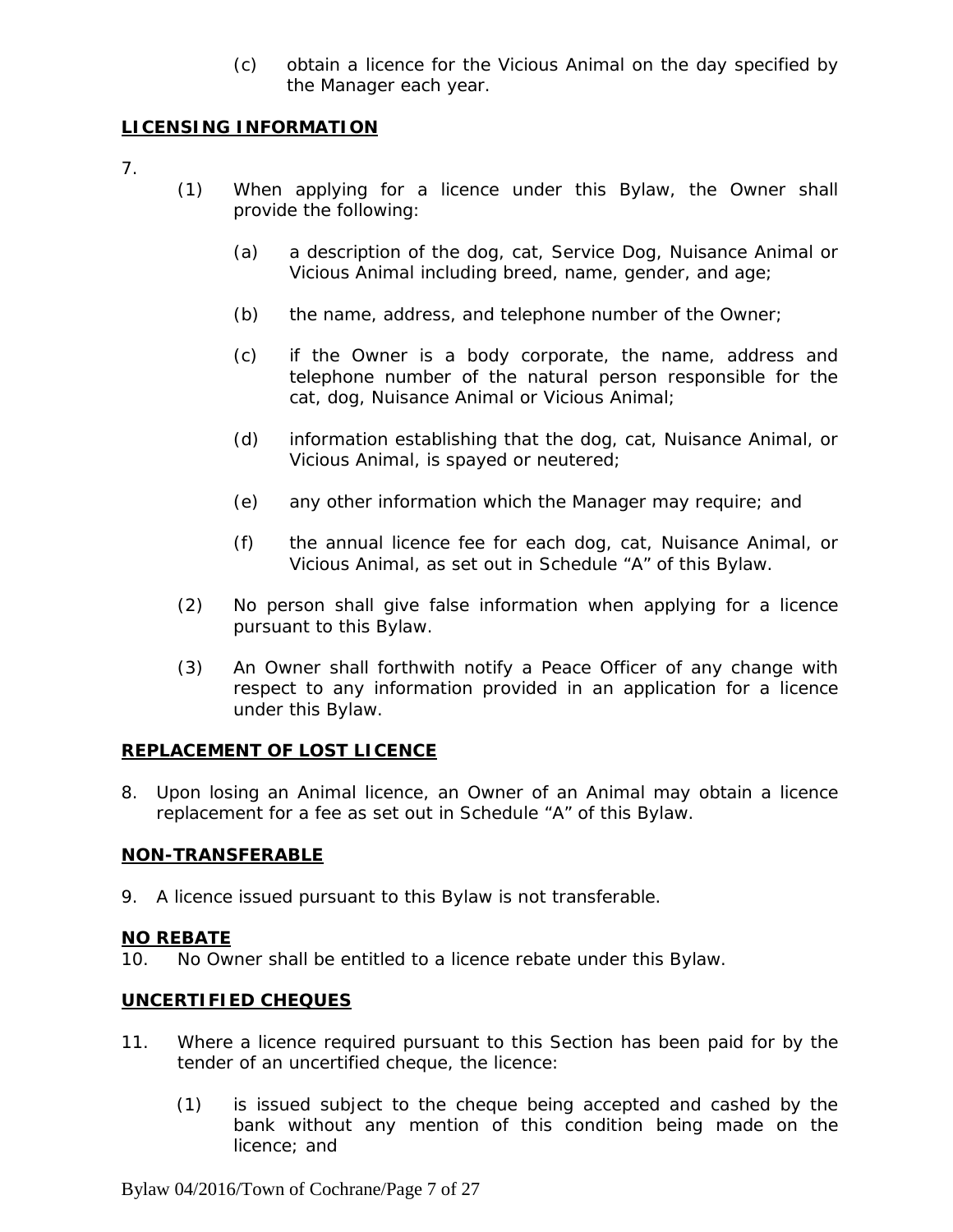(c) obtain a licence for the Vicious Animal on the day specified by the Manager each year.

#### **LICENSING INFORMATION**

- 7.
- (1) When applying for a licence under this Bylaw, the Owner shall provide the following:
	- (a) a description of the dog, cat, Service Dog, Nuisance Animal or Vicious Animal including breed, name, gender, and age;
	- (b) the name, address, and telephone number of the Owner;
	- (c) if the Owner is a body corporate, the name, address and telephone number of the natural person responsible for the cat, dog, Nuisance Animal or Vicious Animal;
	- (d) information establishing that the dog, cat, Nuisance Animal, or Vicious Animal, is spayed or neutered;
	- (e) any other information which the Manager may require; and
	- (f) the annual licence fee for each dog, cat, Nuisance Animal, or Vicious Animal, as set out in Schedule "A" of this Bylaw.
- (2) No person shall give false information when applying for a licence pursuant to this Bylaw.
- (3) An Owner shall forthwith notify a Peace Officer of any change with respect to any information provided in an application for a licence under this Bylaw.

#### **REPLACEMENT OF LOST LICENCE**

8. Upon losing an Animal licence, an Owner of an Animal may obtain a licence replacement for a fee as set out in Schedule "A" of this Bylaw.

#### **NON-TRANSFERABLE**

9. A licence issued pursuant to this Bylaw is not transferable.

#### **NO REBATE**

10. No Owner shall be entitled to a licence rebate under this Bylaw.

# **UNCERTIFIED CHEQUES**

- 11. Where a licence required pursuant to this Section has been paid for by the tender of an uncertified cheque, the licence:
	- (1) is issued subject to the cheque being accepted and cashed by the bank without any mention of this condition being made on the licence; and

Bylaw 04/2016/Town of Cochrane/Page 7 of 27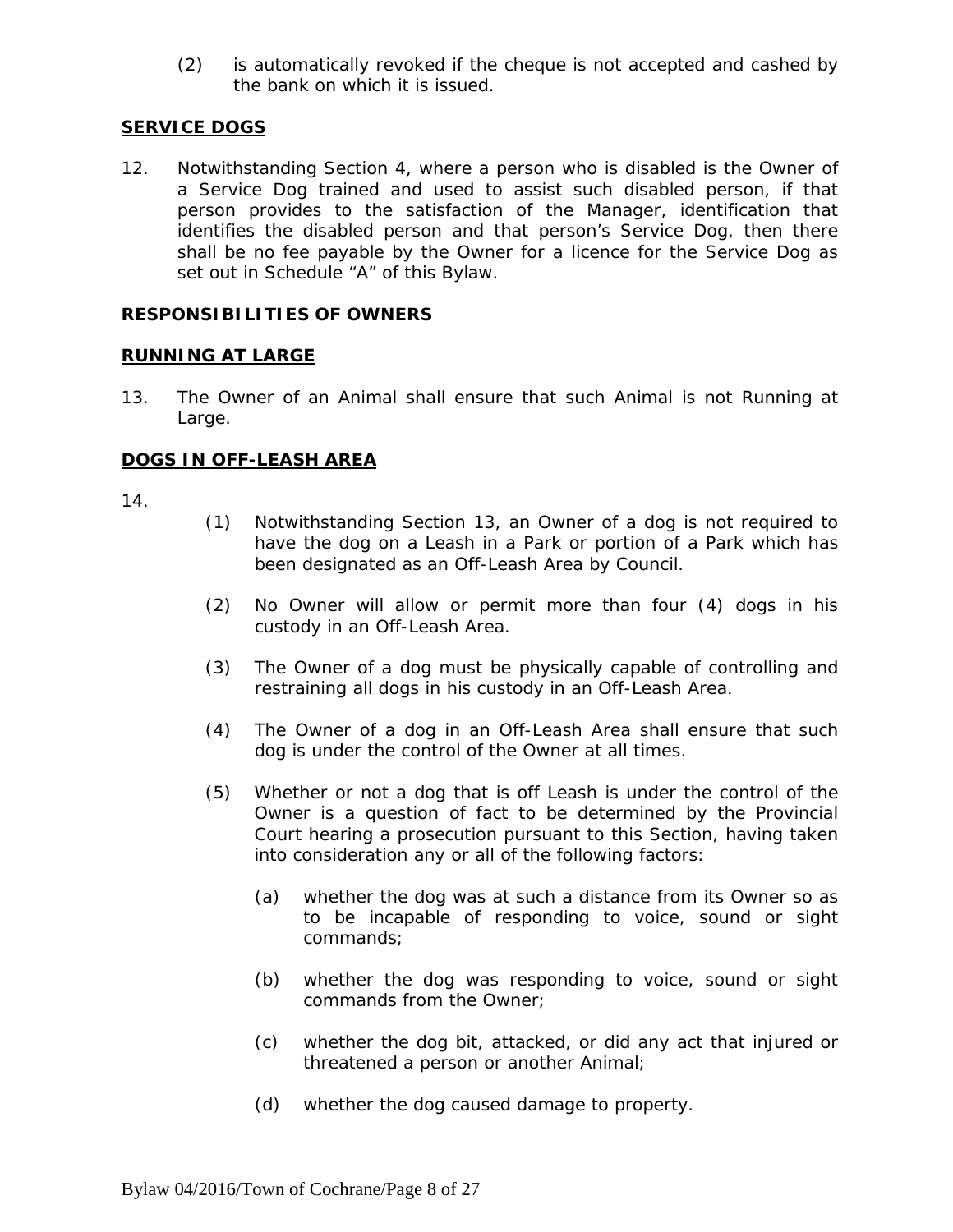(2) is automatically revoked if the cheque is not accepted and cashed by the bank on which it is issued.

# **SERVICE DOGS**

12. Notwithstanding Section 4, where a person who is disabled is the Owner of a Service Dog trained and used to assist such disabled person, if that person provides to the satisfaction of the Manager, identification that identifies the disabled person and that person's Service Dog, then there shall be no fee payable by the Owner for a licence for the Service Dog as set out in Schedule "A" of this Bylaw.

#### **RESPONSIBILITIES OF OWNERS**

#### **RUNNING AT LARGE**

13. The Owner of an Animal shall ensure that such Animal is not Running at Large.

#### **DOGS IN OFF-LEASH AREA**

- (1) Notwithstanding Section 13, an Owner of a dog is not required to have the dog on a Leash in a Park or portion of a Park which has been designated as an Off-Leash Area by Council.
- (2) No Owner will allow or permit more than four (4) dogs in his custody in an Off-Leash Area.
- (3) The Owner of a dog must be physically capable of controlling and restraining all dogs in his custody in an Off-Leash Area.
- (4) The Owner of a dog in an Off-Leash Area shall ensure that such dog is under the control of the Owner at all times.
- (5) Whether or not a dog that is off Leash is under the control of the Owner is a question of fact to be determined by the Provincial Court hearing a prosecution pursuant to this Section, having taken into consideration any or all of the following factors:
	- (a) whether the dog was at such a distance from its Owner so as to be incapable of responding to voice, sound or sight commands;
	- (b) whether the dog was responding to voice, sound or sight commands from the Owner;
	- (c) whether the dog bit, attacked, or did any act that injured or threatened a person or another Animal;
	- (d) whether the dog caused damage to property.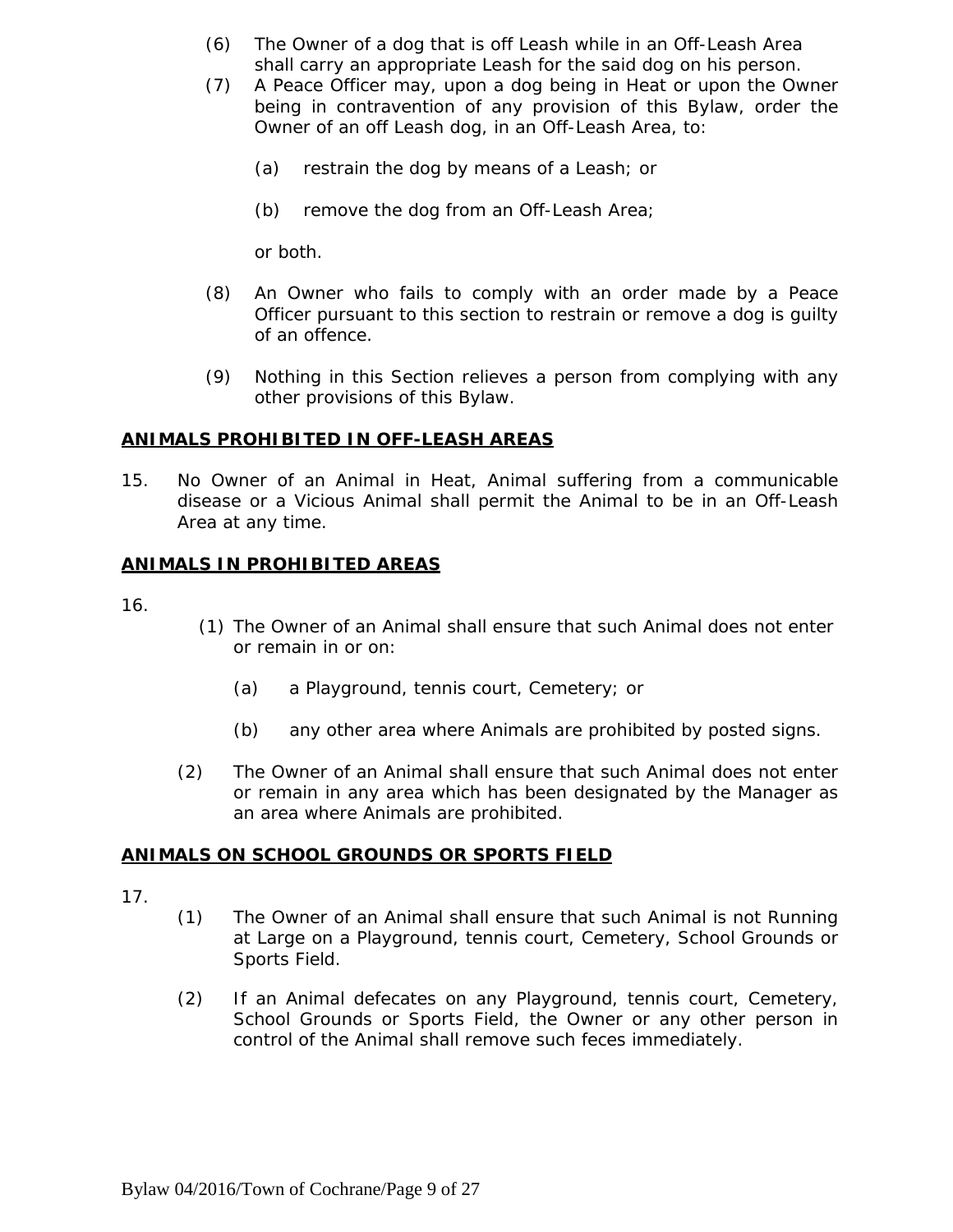- (6) The Owner of a dog that is off Leash while in an Off-Leash Area shall carry an appropriate Leash for the said dog on his person.
- (7) A Peace Officer may, upon a dog being in Heat or upon the Owner being in contravention of any provision of this Bylaw, order the Owner of an off Leash dog, in an Off-Leash Area, to:
	- (a) restrain the dog by means of a Leash; or
	- (b) remove the dog from an Off-Leash Area;

or both.

- (8) An Owner who fails to comply with an order made by a Peace Officer pursuant to this section to restrain or remove a dog is guilty of an offence.
- (9) Nothing in this Section relieves a person from complying with any other provisions of this Bylaw.

#### **ANIMALS PROHIBITED IN OFF-LEASH AREAS**

15. No Owner of an Animal in Heat, Animal suffering from a communicable disease or a Vicious Animal shall permit the Animal to be in an Off-Leash Area at any time.

#### **ANIMALS IN PROHIBITED AREAS**

- 16.
- (1) The Owner of an Animal shall ensure that such Animal does not enter or remain in or on:
	- (a) a Playground, tennis court, Cemetery; or
	- (b) any other area where Animals are prohibited by posted signs.
- (2) The Owner of an Animal shall ensure that such Animal does not enter or remain in any area which has been designated by the Manager as an area where Animals are prohibited.

#### **ANIMALS ON SCHOOL GROUNDS OR SPORTS FIELD**

- 17.
- (1) The Owner of an Animal shall ensure that such Animal is not Running at Large on a Playground, tennis court, Cemetery, School Grounds or Sports Field.
- (2) If an Animal defecates on any Playground, tennis court, Cemetery, School Grounds or Sports Field, the Owner or any other person in control of the Animal shall remove such feces immediately.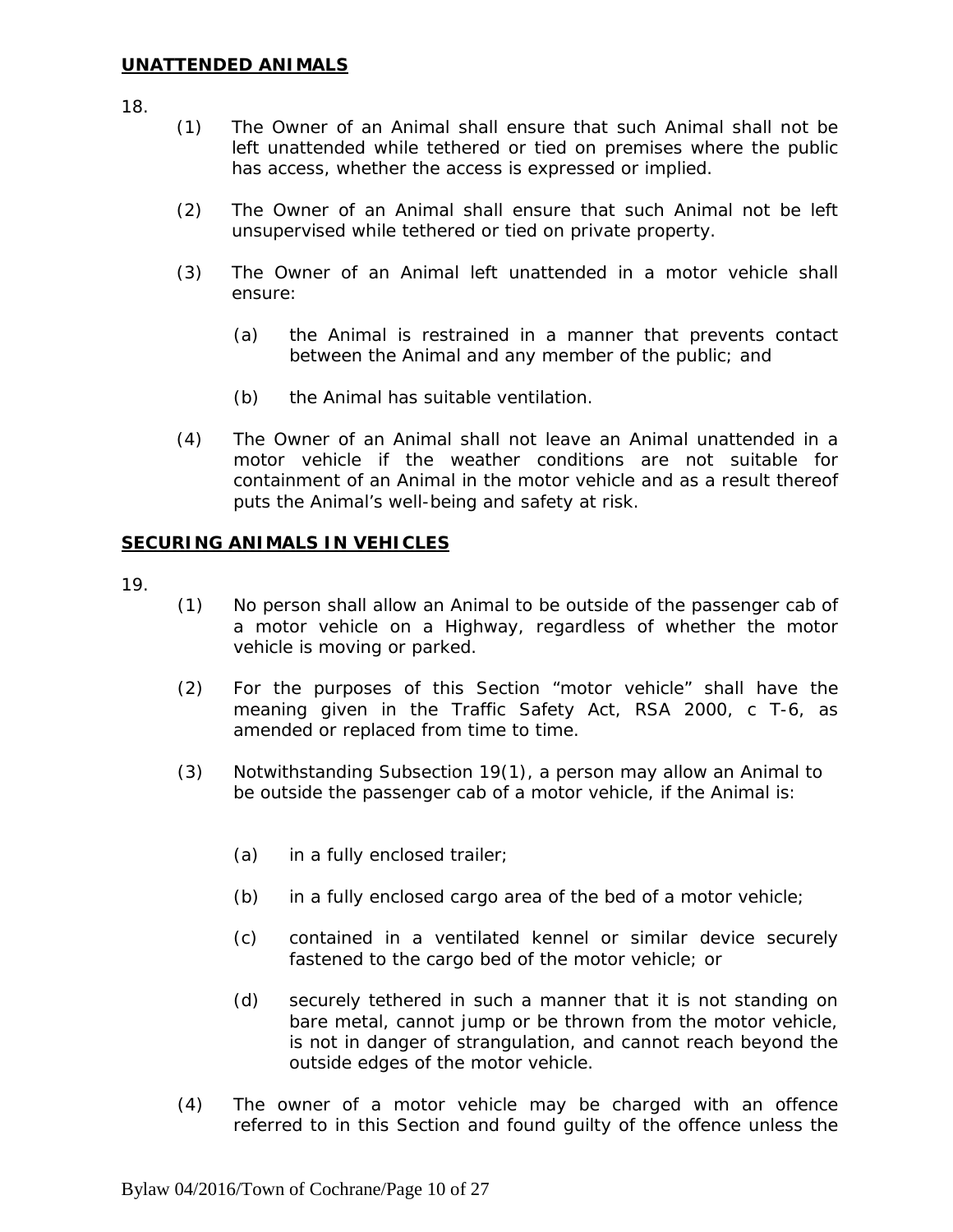18.

- (1) The Owner of an Animal shall ensure that such Animal shall not be left unattended while tethered or tied on premises where the public has access, whether the access is expressed or implied.
- (2) The Owner of an Animal shall ensure that such Animal not be left unsupervised while tethered or tied on private property.
- (3) The Owner of an Animal left unattended in a motor vehicle shall ensure:
	- (a) the Animal is restrained in a manner that prevents contact between the Animal and any member of the public; and
	- (b) the Animal has suitable ventilation.
- (4) The Owner of an Animal shall not leave an Animal unattended in a motor vehicle if the weather conditions are not suitable for containment of an Animal in the motor vehicle and as a result thereof puts the Animal's well-being and safety at risk.

#### **SECURING ANIMALS IN VEHICLES**

- 19.
- (1) No person shall allow an Animal to be outside of the passenger cab of a motor vehicle on a Highway, regardless of whether the motor vehicle is moving or parked.
- (2) For the purposes of this Section "motor vehicle" shall have the meaning given in the *Traffic Safety Act,* RSA 2000, c T-6, as amended or replaced from time to time.
- (3) Notwithstanding Subsection 19(1), a person may allow an Animal to be outside the passenger cab of a motor vehicle, if the Animal is:
	- (a) in a fully enclosed trailer;
	- (b) in a fully enclosed cargo area of the bed of a motor vehicle;
	- (c) contained in a ventilated kennel or similar device securely fastened to the cargo bed of the motor vehicle; or
	- (d) securely tethered in such a manner that it is not standing on bare metal, cannot jump or be thrown from the motor vehicle, is not in danger of strangulation, and cannot reach beyond the outside edges of the motor vehicle.
- (4) The owner of a motor vehicle may be charged with an offence referred to in this Section and found guilty of the offence unless the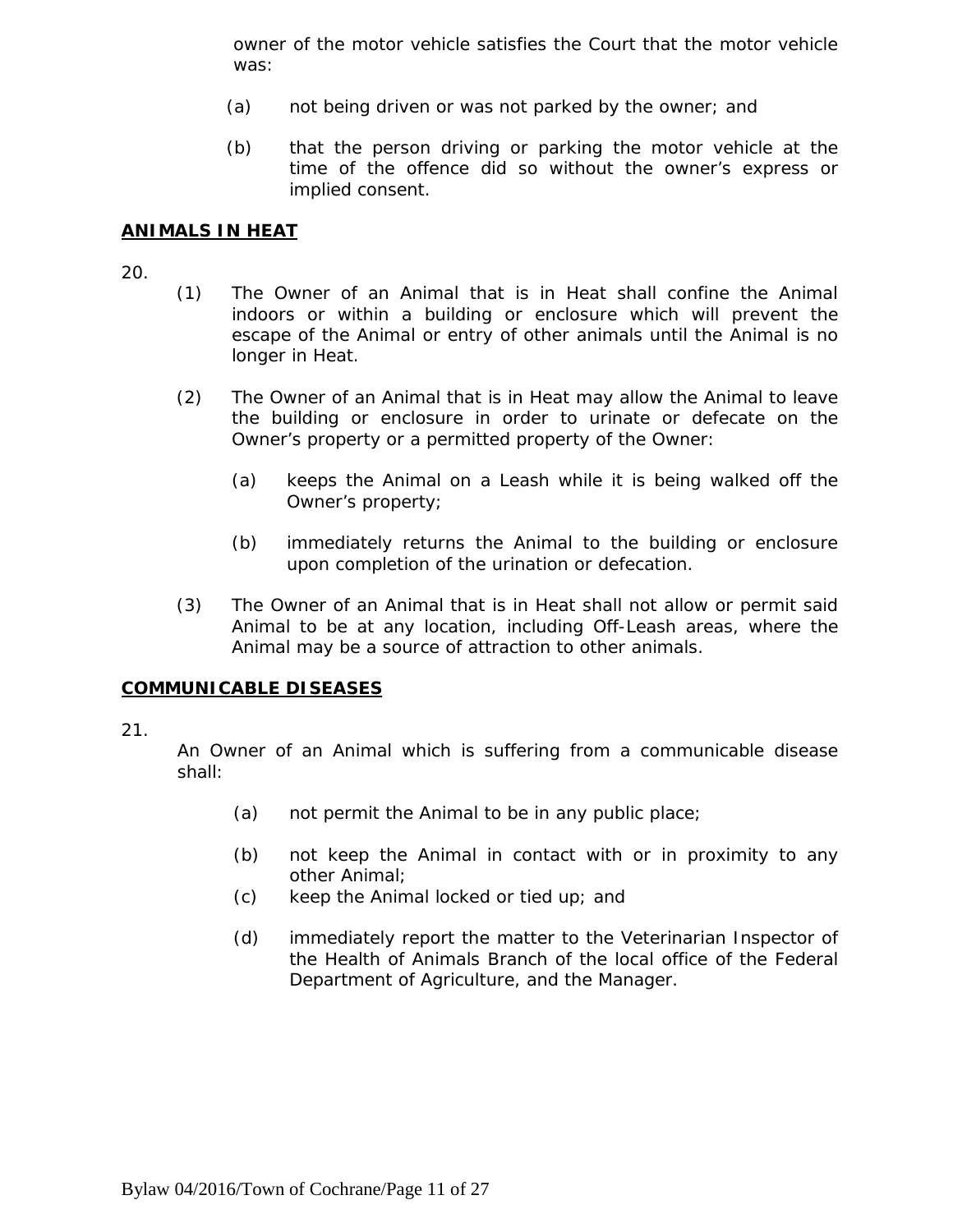owner of the motor vehicle satisfies the Court that the motor vehicle was:

- (a) not being driven or was not parked by the owner; and
- (b) that the person driving or parking the motor vehicle at the time of the offence did so without the owner's express or implied consent.

#### **ANIMALS IN HEAT**

20.

- (1) The Owner of an Animal that is in Heat shall confine the Animal indoors or within a building or enclosure which will prevent the escape of the Animal or entry of other animals until the Animal is no longer in Heat.
- (2) The Owner of an Animal that is in Heat may allow the Animal to leave the building or enclosure in order to urinate or defecate on the Owner's property or a permitted property of the Owner:
	- (a) keeps the Animal on a Leash while it is being walked off the Owner's property;
	- (b) immediately returns the Animal to the building or enclosure upon completion of the urination or defecation.
- (3) The Owner of an Animal that is in Heat shall not allow or permit said Animal to be at any location, including Off-Leash areas, where the Animal may be a source of attraction to other animals.

#### **COMMUNICABLE DISEASES**

#### 21.

An Owner of an Animal which is suffering from a communicable disease shall:

- (a) not permit the Animal to be in any public place;
- (b) not keep the Animal in contact with or in proximity to any other Animal;
- (c) keep the Animal locked or tied up; and
- (d) immediately report the matter to the Veterinarian Inspector of the Health of Animals Branch of the local office of the Federal Department of Agriculture, and the Manager.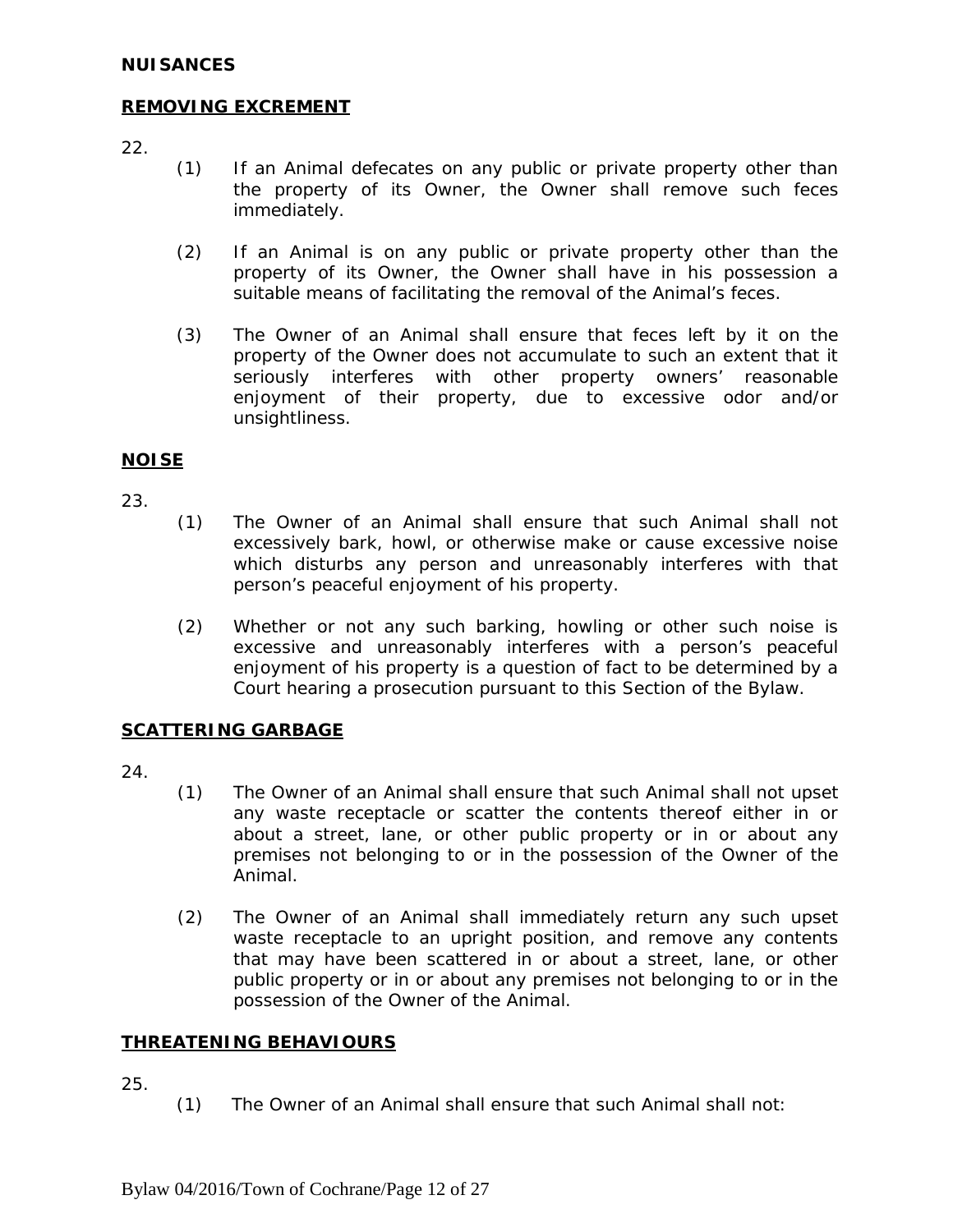#### **NUISANCES**

#### **REMOVING EXCREMENT**

22.

- (1) If an Animal defecates on any public or private property other than the property of its Owner, the Owner shall remove such feces immediately.
- (2) If an Animal is on any public or private property other than the property of its Owner, the Owner shall have in his possession a suitable means of facilitating the removal of the Animal's feces.
- (3) The Owner of an Animal shall ensure that feces left by it on the property of the Owner does not accumulate to such an extent that it seriously interferes with other property owners' reasonable enjoyment of their property, due to excessive odor and/or unsightliness.

#### **NOISE**

23.

- (1) The Owner of an Animal shall ensure that such Animal shall not excessively bark, howl, or otherwise make or cause excessive noise which disturbs any person and unreasonably interferes with that person's peaceful enjoyment of his property.
- (2) Whether or not any such barking, howling or other such noise is excessive and unreasonably interferes with a person's peaceful enjoyment of his property is a question of fact to be determined by a Court hearing a prosecution pursuant to this Section of the Bylaw.

#### **SCATTERING GARBAGE**

24.

- (1) The Owner of an Animal shall ensure that such Animal shall not upset any waste receptacle or scatter the contents thereof either in or about a street, lane, or other public property or in or about any premises not belonging to or in the possession of the Owner of the Animal.
- (2) The Owner of an Animal shall immediately return any such upset waste receptacle to an upright position, and remove any contents that may have been scattered in or about a street, lane, or other public property or in or about any premises not belonging to or in the possession of the Owner of the Animal.

#### **THREATENING BEHAVIOURS**

25.

(1) The Owner of an Animal shall ensure that such Animal shall not: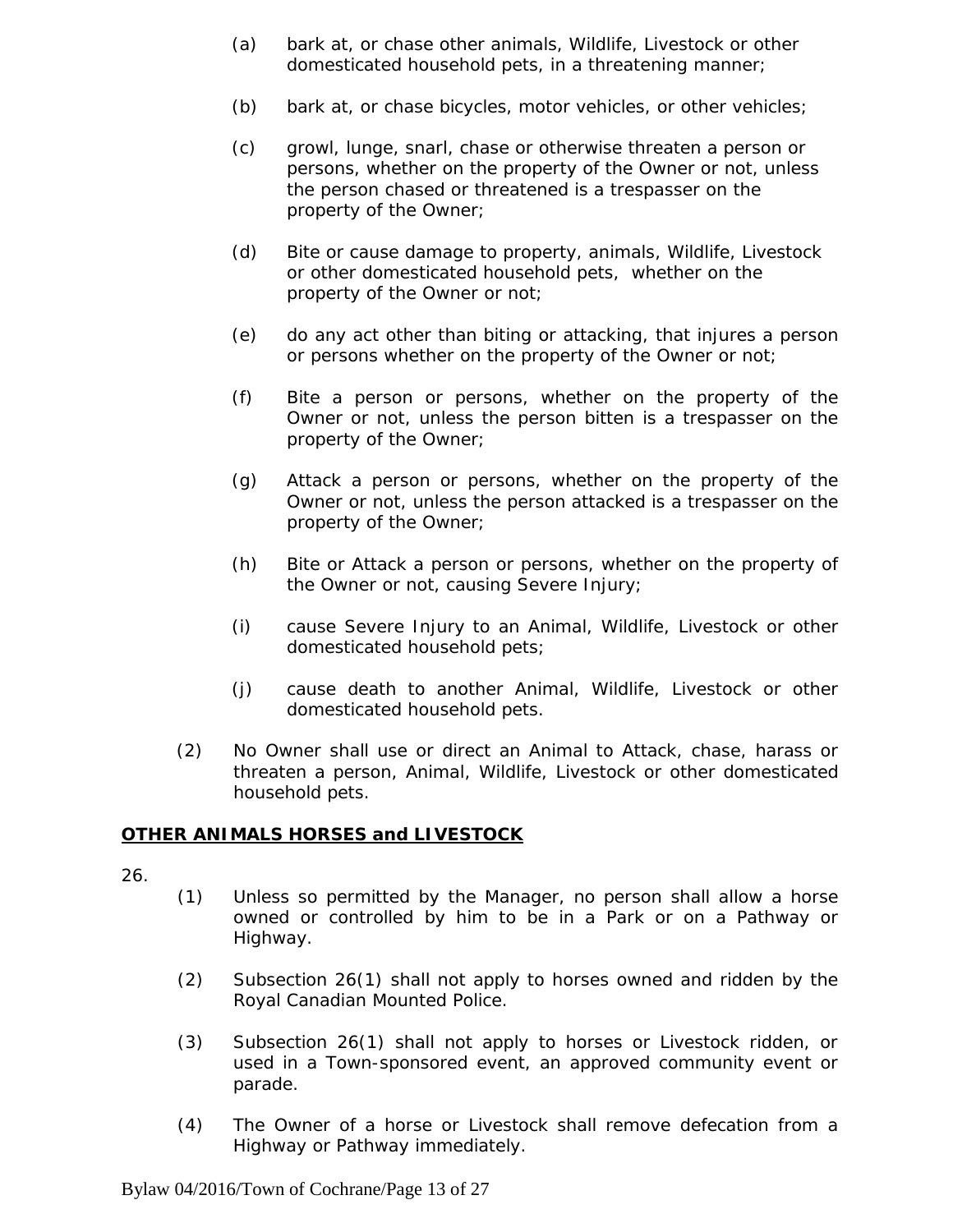- (a) bark at, or chase other animals, Wildlife, Livestock or other domesticated household pets, in a threatening manner;
- (b) bark at, or chase bicycles, motor vehicles, or other vehicles;
- (c) growl, lunge, snarl, chase or otherwise threaten a person or persons, whether on the property of the Owner or not, unless the person chased or threatened is a trespasser on the property of the Owner;
- (d) Bite or cause damage to property, animals, Wildlife, Livestock or other domesticated household pets, whether on the property of the Owner or not;
- (e) do any act other than biting or attacking, that injures a person or persons whether on the property of the Owner or not;
- (f) Bite a person or persons, whether on the property of the Owner or not, unless the person bitten is a trespasser on the property of the Owner;
- (g) Attack a person or persons, whether on the property of the Owner or not, unless the person attacked is a trespasser on the property of the Owner;
- (h) Bite or Attack a person or persons, whether on the property of the Owner or not, causing Severe Injury;
- (i) cause Severe Injury to an Animal, Wildlife, Livestock or other domesticated household pets;
- (j) cause death to another Animal, Wildlife, Livestock or other domesticated household pets.
- (2) No Owner shall use or direct an Animal to Attack, chase, harass or threaten a person, Animal, Wildlife, Livestock or other domesticated household pets.

# **OTHER ANIMALS HORSES and LIVESTOCK**

- (1) Unless so permitted by the Manager, no person shall allow a horse owned or controlled by him to be in a Park or on a Pathway or Highway.
- (2) Subsection 26(1) shall not apply to horses owned and ridden by the Royal Canadian Mounted Police.
- (3) Subsection 26(1) shall not apply to horses or Livestock ridden, or used in a Town-sponsored event, an approved community event or parade.
- (4) The Owner of a horse or Livestock shall remove defecation from a Highway or Pathway immediately.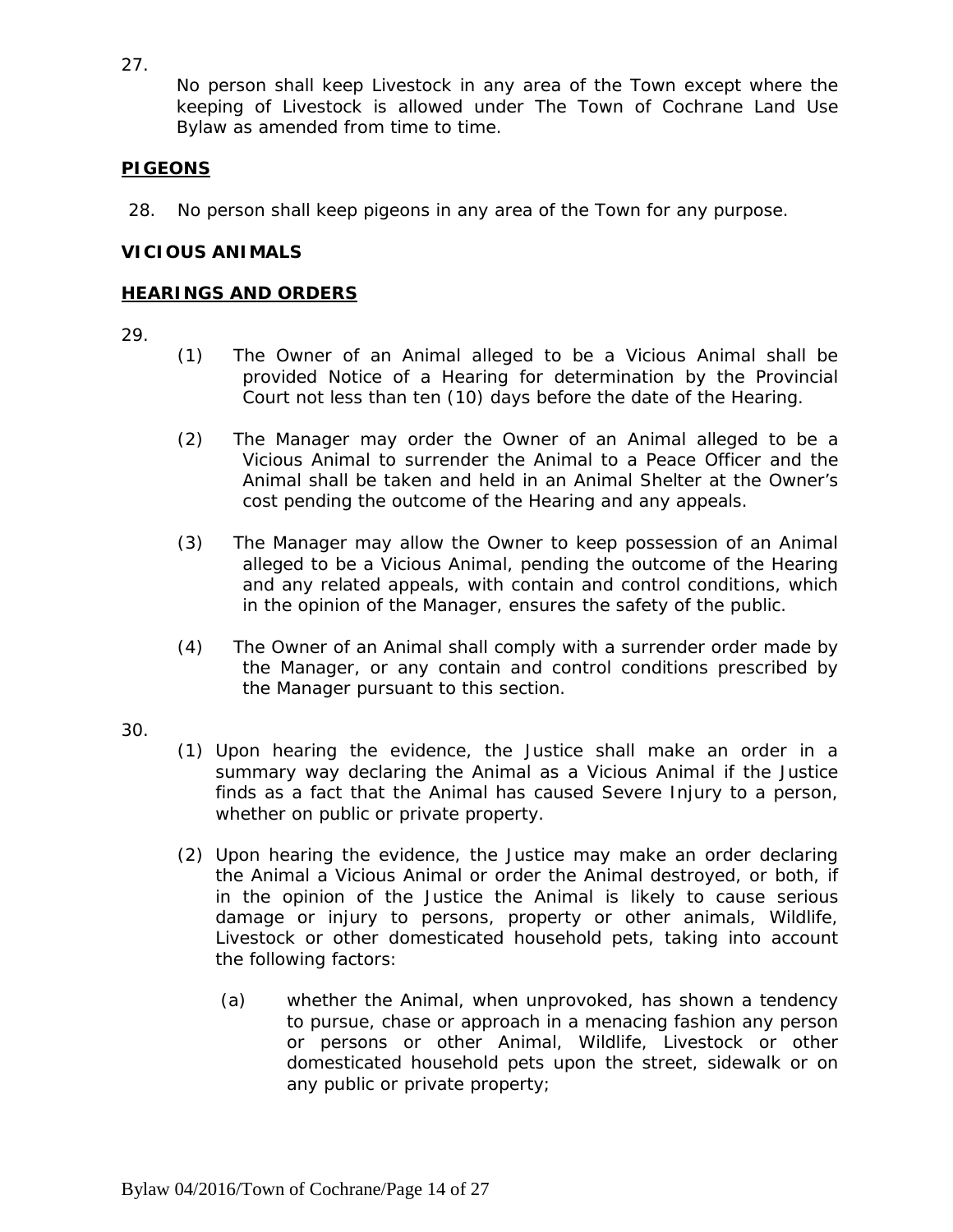27.

No person shall keep Livestock in any area of the Town except where the keeping of Livestock is allowed under The Town of Cochrane Land Use Bylaw as amended from time to time.

# **PIGEONS**

28. No person shall keep pigeons in any area of the Town for any purpose.

# **VICIOUS ANIMALS**

# **HEARINGS AND ORDERS**

- (1) The Owner of an Animal alleged to be a Vicious Animal shall be provided Notice of a Hearing for determination by the Provincial Court not less than ten (10) days before the date of the Hearing.
- (2) The Manager may order the Owner of an Animal alleged to be a Vicious Animal to surrender the Animal to a Peace Officer and the Animal shall be taken and held in an Animal Shelter at the Owner's cost pending the outcome of the Hearing and any appeals.
- (3) The Manager may allow the Owner to keep possession of an Animal alleged to be a Vicious Animal, pending the outcome of the Hearing and any related appeals, with contain and control conditions, which in the opinion of the Manager, ensures the safety of the public.
- (4) The Owner of an Animal shall comply with a surrender order made by the Manager, or any contain and control conditions prescribed by the Manager pursuant to this section.
- 30.
- (1) Upon hearing the evidence, the Justice shall make an order in a summary way declaring the Animal as a Vicious Animal if the Justice finds as a fact that the Animal has caused Severe Injury to a person, whether on public or private property.
- (2) Upon hearing the evidence, the Justice may make an order declaring the Animal a Vicious Animal or order the Animal destroyed, or both, if in the opinion of the Justice the Animal is likely to cause serious damage or injury to persons, property or other animals, Wildlife, Livestock or other domesticated household pets, taking into account the following factors:
	- (a) whether the Animal, when unprovoked, has shown a tendency to pursue, chase or approach in a menacing fashion any person or persons or other Animal, Wildlife, Livestock or other domesticated household pets upon the street, sidewalk or on any public or private property;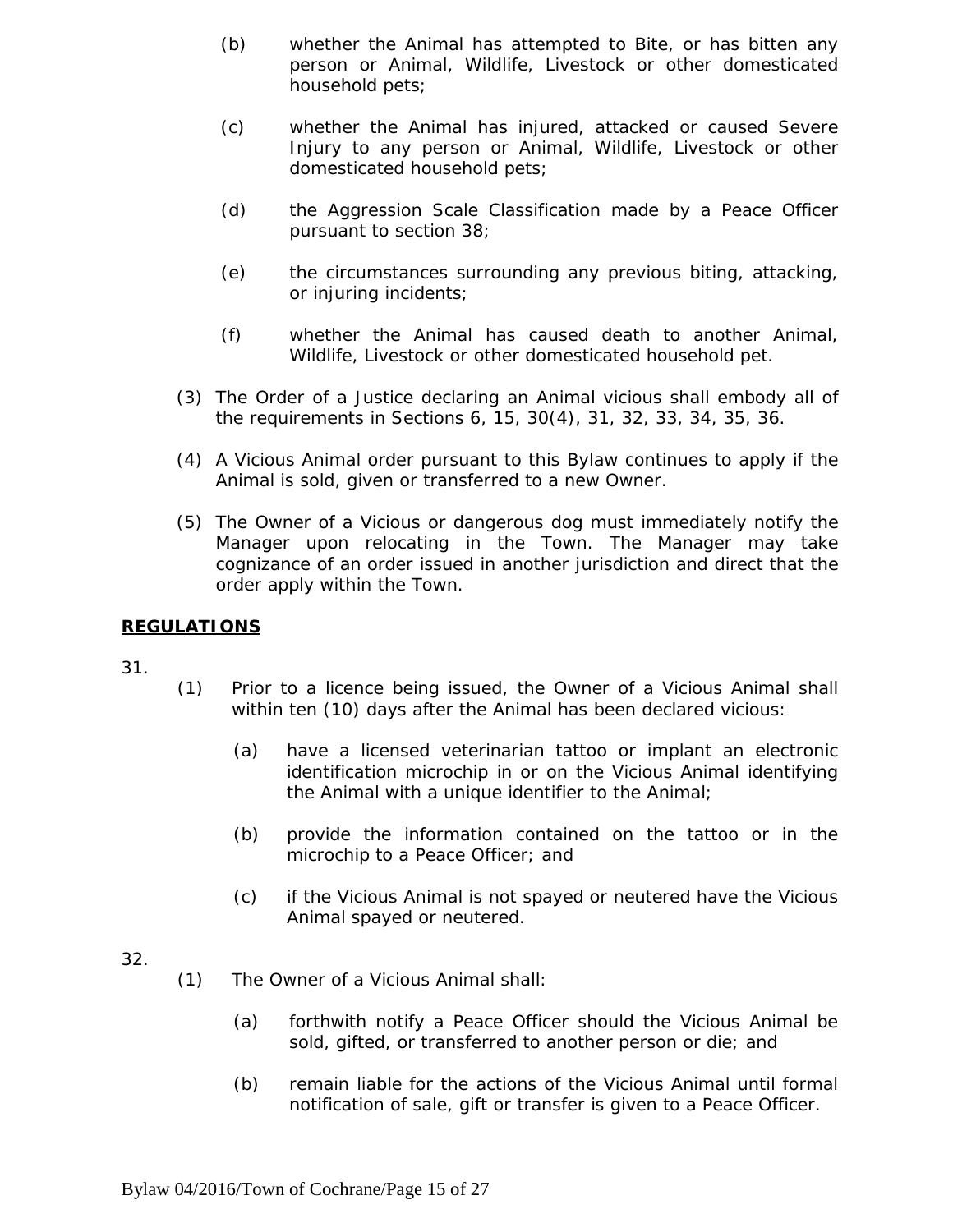- (b) whether the Animal has attempted to Bite, or has bitten any person or Animal, Wildlife, Livestock or other domesticated household pets;
- (c) whether the Animal has injured, attacked or caused Severe Injury to any person or Animal, Wildlife, Livestock or other domesticated household pets;
- (d) the Aggression Scale Classification made by a Peace Officer pursuant to section 38;
- (e) the circumstances surrounding any previous biting, attacking, or injuring incidents;
- (f) whether the Animal has caused death to another Animal, Wildlife, Livestock or other domesticated household pet.
- (3) The Order of a Justice declaring an Animal vicious shall embody all of the requirements in Sections 6, 15, 30(4), 31, 32, 33, 34, 35, 36.
- (4) A Vicious Animal order pursuant to this Bylaw continues to apply if the Animal is sold, given or transferred to a new Owner.
- (5) The Owner of a Vicious or dangerous dog must immediately notify the Manager upon relocating in the Town. The Manager may take cognizance of an order issued in another jurisdiction and direct that the order apply within the Town.

#### **REGULATIONS**

- (1) Prior to a licence being issued, the Owner of a Vicious Animal shall within ten (10) days after the Animal has been declared vicious:
	- (a) have a licensed veterinarian tattoo or implant an electronic identification microchip in or on the Vicious Animal identifying the Animal with a unique identifier to the Animal;
	- (b) provide the information contained on the tattoo or in the microchip to a Peace Officer; and
	- (c) if the Vicious Animal is not spayed or neutered have the Vicious Animal spayed or neutered.
- 32.
- (1) The Owner of a Vicious Animal shall:
	- (a) forthwith notify a Peace Officer should the Vicious Animal be sold, gifted, or transferred to another person or die; and
	- (b) remain liable for the actions of the Vicious Animal until formal notification of sale, gift or transfer is given to a Peace Officer.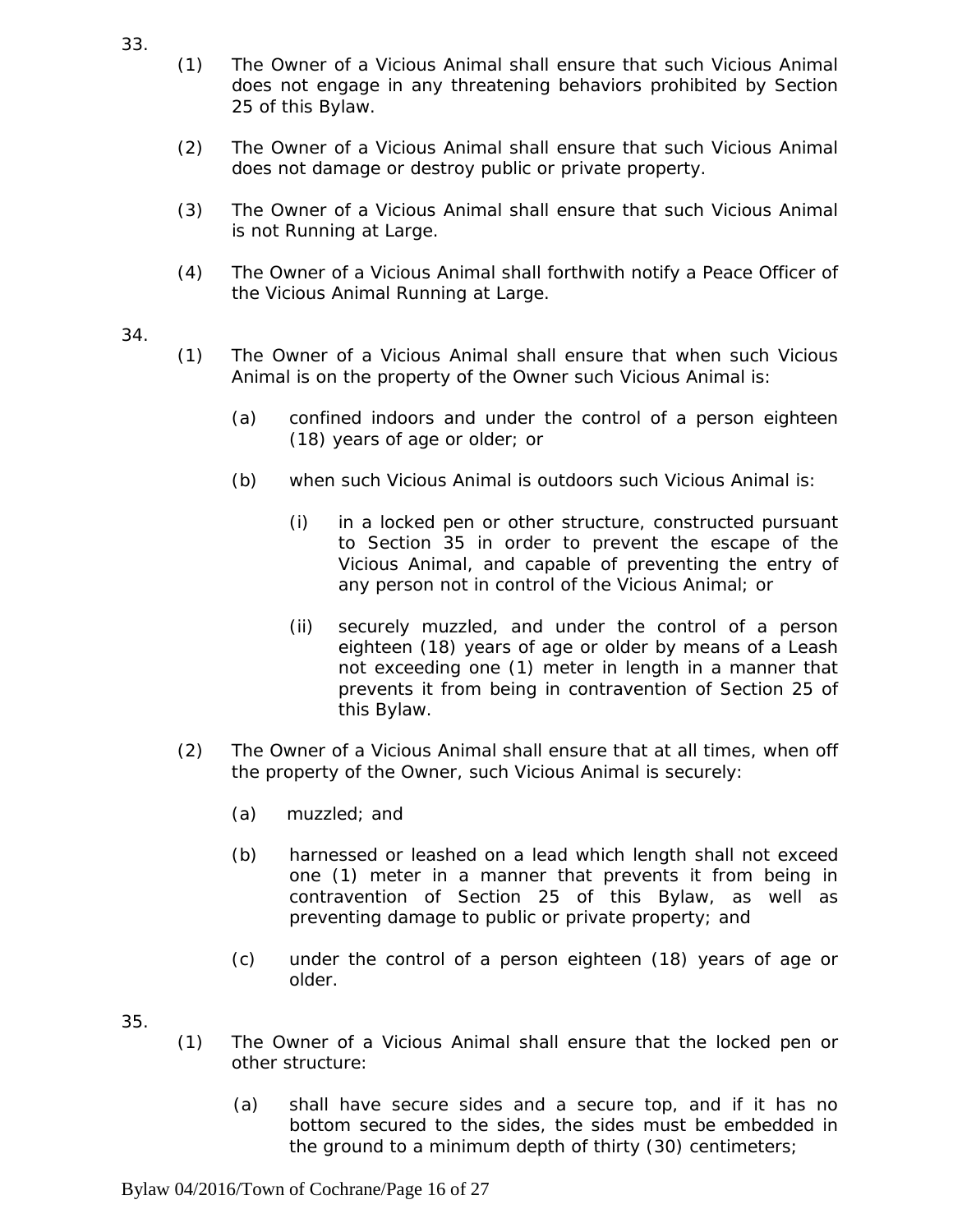- (1) The Owner of a Vicious Animal shall ensure that such Vicious Animal does not engage in any threatening behaviors prohibited by Section 25 of this Bylaw.
- (2) The Owner of a Vicious Animal shall ensure that such Vicious Animal does not damage or destroy public or private property.
- (3) The Owner of a Vicious Animal shall ensure that such Vicious Animal is not Running at Large.
- (4) The Owner of a Vicious Animal shall forthwith notify a Peace Officer of the Vicious Animal Running at Large.
- 34.
- (1) The Owner of a Vicious Animal shall ensure that when such Vicious Animal is on the property of the Owner such Vicious Animal is:
	- (a) confined indoors and under the control of a person eighteen (18) years of age or older; or
	- (b) when such Vicious Animal is outdoors such Vicious Animal is:
		- (i) in a locked pen or other structure, constructed pursuant to Section 35 in order to prevent the escape of the Vicious Animal, and capable of preventing the entry of any person not in control of the Vicious Animal; or
		- (ii) securely muzzled, and under the control of a person eighteen (18) years of age or older by means of a Leash not exceeding one (1) meter in length in a manner that prevents it from being in contravention of Section 25 of this Bylaw.
- (2) The Owner of a Vicious Animal shall ensure that at all times, when off the property of the Owner, such Vicious Animal is securely:
	- (a) muzzled; and
	- (b) harnessed or leashed on a lead which length shall not exceed one (1) meter in a manner that prevents it from being in contravention of Section 25 of this Bylaw, as well as preventing damage to public or private property; and
	- (c) under the control of a person eighteen (18) years of age or older.
- 35.
- (1) The Owner of a Vicious Animal shall ensure that the locked pen or other structure:
	- (a) shall have secure sides and a secure top, and if it has no bottom secured to the sides, the sides must be embedded in the ground to a minimum depth of thirty (30) centimeters;

Bylaw 04/2016/Town of Cochrane/Page 16 of 27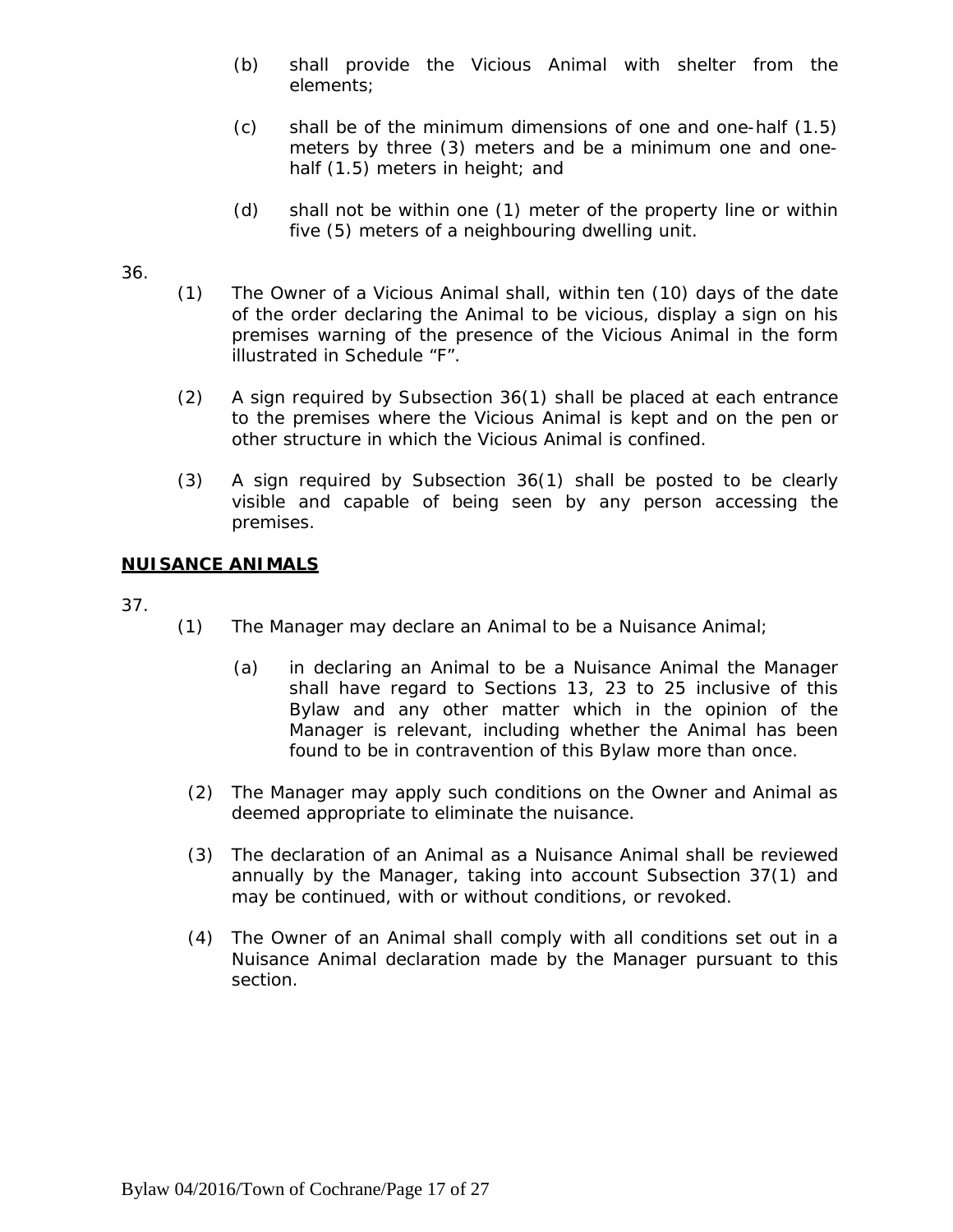- (b) shall provide the Vicious Animal with shelter from the elements;
- (c) shall be of the minimum dimensions of one and one-half (1.5) meters by three (3) meters and be a minimum one and onehalf (1.5) meters in height; and
- (d) shall not be within one (1) meter of the property line or within five (5) meters of a neighbouring dwelling unit.

#### 36.

- (1) The Owner of a Vicious Animal shall, within ten (10) days of the date of the order declaring the Animal to be vicious, display a sign on his premises warning of the presence of the Vicious Animal in the form illustrated in Schedule "F".
- (2) A sign required by Subsection 36(1) shall be placed at each entrance to the premises where the Vicious Animal is kept and on the pen or other structure in which the Vicious Animal is confined.
- (3) A sign required by Subsection 36(1) shall be posted to be clearly visible and capable of being seen by any person accessing the premises.

#### **NUISANCE ANIMALS**

- (1) The Manager may declare an Animal to be a Nuisance Animal;
	- (a) in declaring an Animal to be a Nuisance Animal the Manager shall have regard to Sections 13, 23 to 25 inclusive of this Bylaw and any other matter which in the opinion of the Manager is relevant, including whether the Animal has been found to be in contravention of this Bylaw more than once.
	- (2) The Manager may apply such conditions on the Owner and Animal as deemed appropriate to eliminate the nuisance.
	- (3) The declaration of an Animal as a Nuisance Animal shall be reviewed annually by the Manager, taking into account Subsection 37(1) and may be continued, with or without conditions, or revoked.
	- (4) The Owner of an Animal shall comply with all conditions set out in a Nuisance Animal declaration made by the Manager pursuant to this section.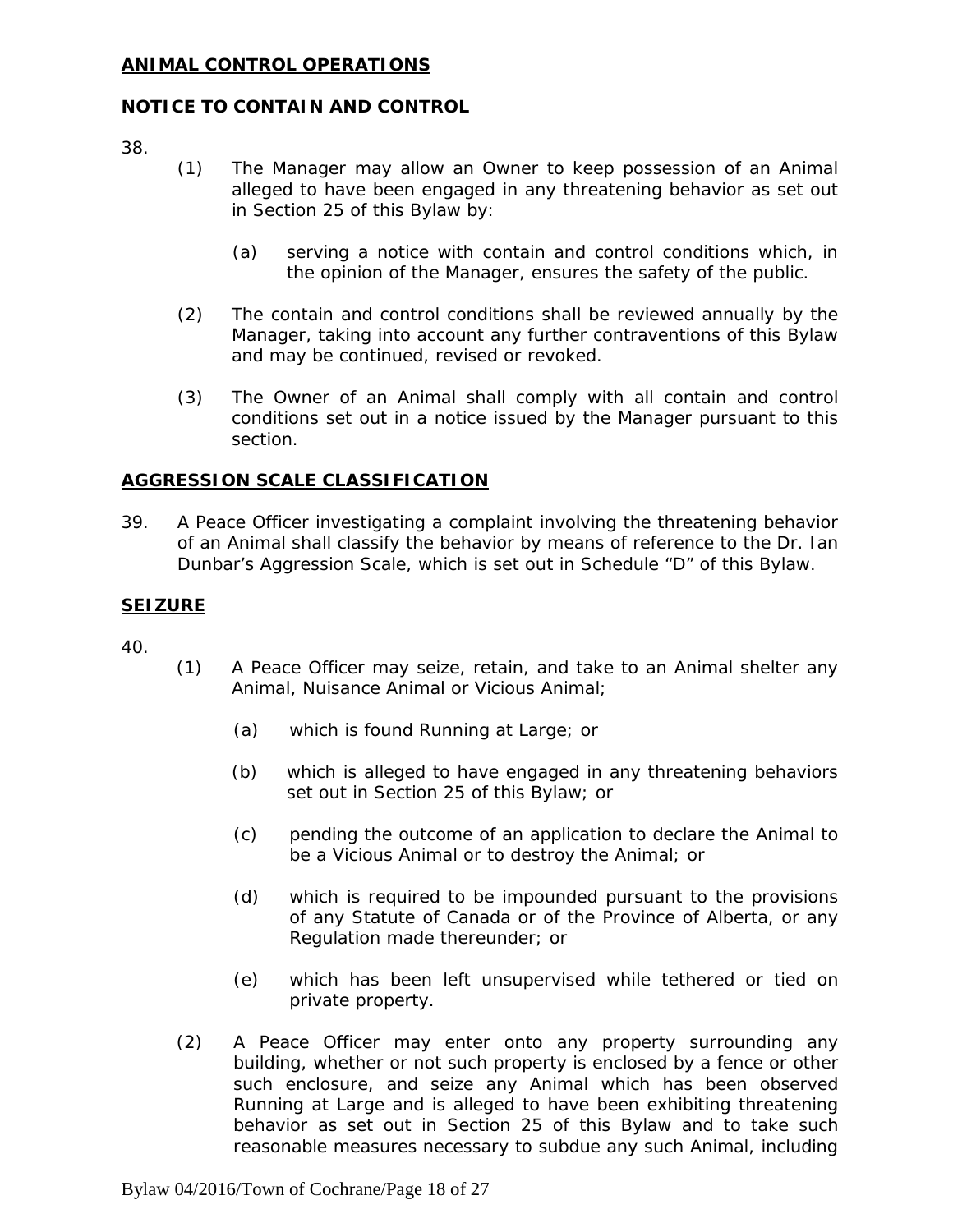#### **ANIMAL CONTROL OPERATIONS**

#### **NOTICE TO CONTAIN AND CONTROL**

38.

- (1) The Manager may allow an Owner to keep possession of an Animal alleged to have been engaged in any threatening behavior as set out in Section 25 of this Bylaw by:
	- (a) serving a notice with contain and control conditions which, in the opinion of the Manager, ensures the safety of the public.
- (2) The contain and control conditions shall be reviewed annually by the Manager, taking into account any further contraventions of this Bylaw and may be continued, revised or revoked.
- (3) The Owner of an Animal shall comply with all contain and control conditions set out in a notice issued by the Manager pursuant to this section.

#### **AGGRESSION SCALE CLASSIFICATION**

39. A Peace Officer investigating a complaint involving the threatening behavior of an Animal shall classify the behavior by means of reference to the Dr. Ian Dunbar's Aggression Scale, which is set out in Schedule "D" of this Bylaw.

#### **SEIZURE**

- (1) A Peace Officer may seize, retain, and take to an Animal shelter any Animal, Nuisance Animal or Vicious Animal;
	- (a) which is found Running at Large; or
	- (b) which is alleged to have engaged in any threatening behaviors set out in Section 25 of this Bylaw; or
	- (c) pending the outcome of an application to declare the Animal to be a Vicious Animal or to destroy the Animal; or
	- (d) which is required to be impounded pursuant to the provisions of any Statute of Canada or of the Province of Alberta, or any Regulation made thereunder; or
	- (e) which has been left unsupervised while tethered or tied on private property.
- (2) A Peace Officer may enter onto any property surrounding any building, whether or not such property is enclosed by a fence or other such enclosure, and seize any Animal which has been observed Running at Large and is alleged to have been exhibiting threatening behavior as set out in Section 25 of this Bylaw and to take such reasonable measures necessary to subdue any such Animal, including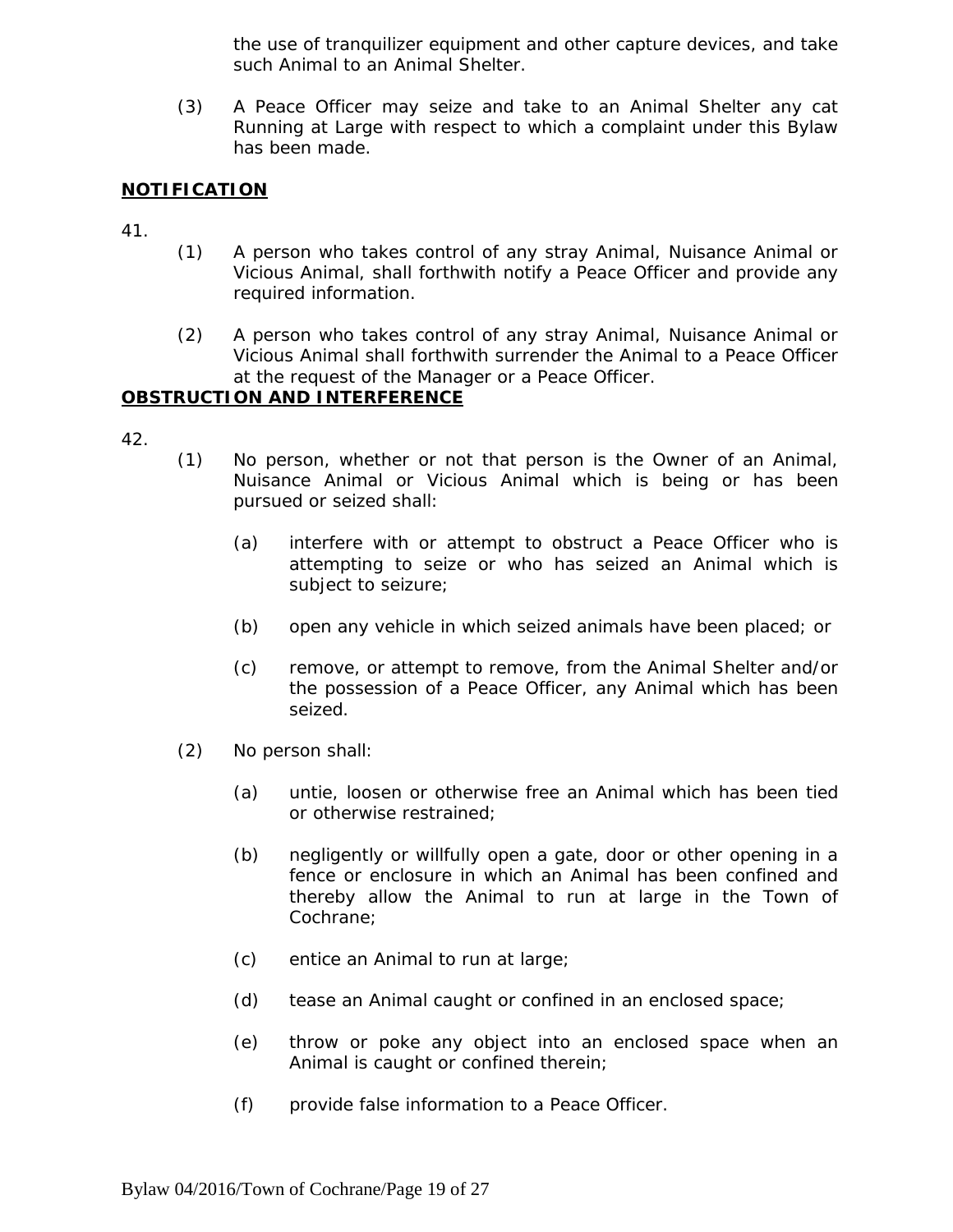the use of tranquilizer equipment and other capture devices, and take such Animal to an Animal Shelter.

(3) A Peace Officer may seize and take to an Animal Shelter any cat Running at Large with respect to which a complaint under this Bylaw has been made.

#### **NOTIFICATION**

41.

- (1) A person who takes control of any stray Animal, Nuisance Animal or Vicious Animal, shall forthwith notify a Peace Officer and provide any required information.
- (2) A person who takes control of any stray Animal, Nuisance Animal or Vicious Animal shall forthwith surrender the Animal to a Peace Officer at the request of the Manager or a Peace Officer.

# **OBSTRUCTION AND INTERFERENCE**

- (1) No person, whether or not that person is the Owner of an Animal, Nuisance Animal or Vicious Animal which is being or has been pursued or seized shall:
	- (a) interfere with or attempt to obstruct a Peace Officer who is attempting to seize or who has seized an Animal which is subject to seizure;
	- (b) open any vehicle in which seized animals have been placed; or
	- (c) remove, or attempt to remove, from the Animal Shelter and/or the possession of a Peace Officer, any Animal which has been seized.
- (2) No person shall:
	- (a) untie, loosen or otherwise free an Animal which has been tied or otherwise restrained;
	- (b) negligently or willfully open a gate, door or other opening in a fence or enclosure in which an Animal has been confined and thereby allow the Animal to run at large in the Town of Cochrane;
	- (c) entice an Animal to run at large;
	- (d) tease an Animal caught or confined in an enclosed space;
	- (e) throw or poke any object into an enclosed space when an Animal is caught or confined therein;
	- (f) provide false information to a Peace Officer.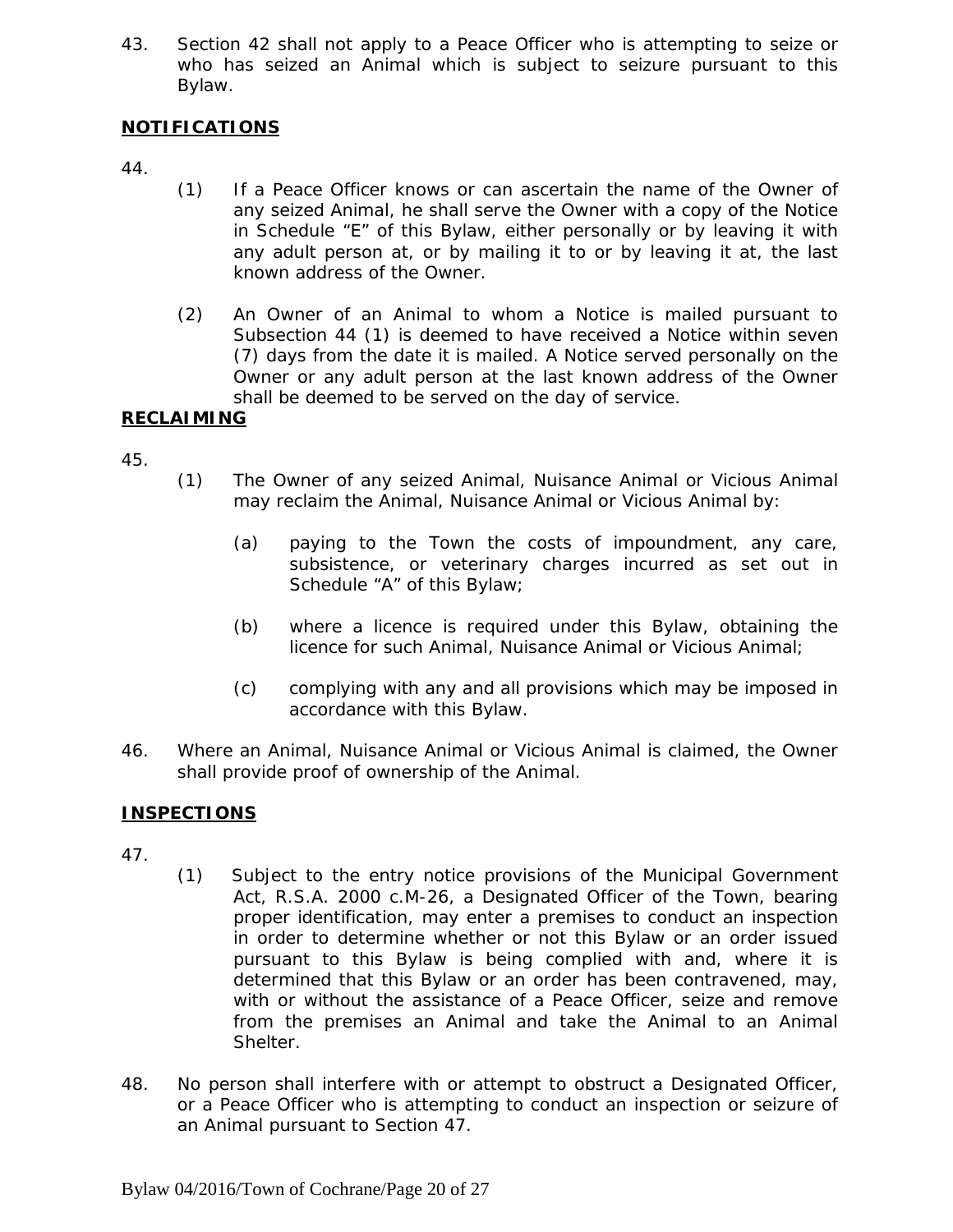43. Section 42 shall not apply to a Peace Officer who is attempting to seize or who has seized an Animal which is subject to seizure pursuant to this Bylaw.

# **NOTIFICATIONS**

- 44.
- (1) If a Peace Officer knows or can ascertain the name of the Owner of any seized Animal, he shall serve the Owner with a copy of the Notice in Schedule "E" of this Bylaw, either personally or by leaving it with any adult person at, or by mailing it to or by leaving it at, the last known address of the Owner.
- (2) An Owner of an Animal to whom a Notice is mailed pursuant to Subsection 44 (1) is deemed to have received a Notice within seven (7) days from the date it is mailed. A Notice served personally on the Owner or any adult person at the last known address of the Owner shall be deemed to be served on the day of service.

# **RECLAIMING**

45.

- (1) The Owner of any seized Animal, Nuisance Animal or Vicious Animal may reclaim the Animal, Nuisance Animal or Vicious Animal by:
	- (a) paying to the Town the costs of impoundment, any care, subsistence, or veterinary charges incurred as set out in Schedule "A" of this Bylaw;
	- (b) where a licence is required under this Bylaw, obtaining the licence for such Animal, Nuisance Animal or Vicious Animal;
	- (c) complying with any and all provisions which may be imposed in accordance with this Bylaw.
- 46. Where an Animal, Nuisance Animal or Vicious Animal is claimed, the Owner shall provide proof of ownership of the Animal.

# **INSPECTIONS**

- 47.
- (1) Subject to the entry notice provisions of the *Municipal Government Act*, R.S.A. 2000 c.M-26, a Designated Officer of the Town, bearing proper identification, may enter a premises to conduct an inspection in order to determine whether or not this Bylaw or an order issued pursuant to this Bylaw is being complied with and, where it is determined that this Bylaw or an order has been contravened, may, with or without the assistance of a Peace Officer, seize and remove from the premises an Animal and take the Animal to an Animal Shelter.
- 48. No person shall interfere with or attempt to obstruct a Designated Officer, or a Peace Officer who is attempting to conduct an inspection or seizure of an Animal pursuant to Section 47.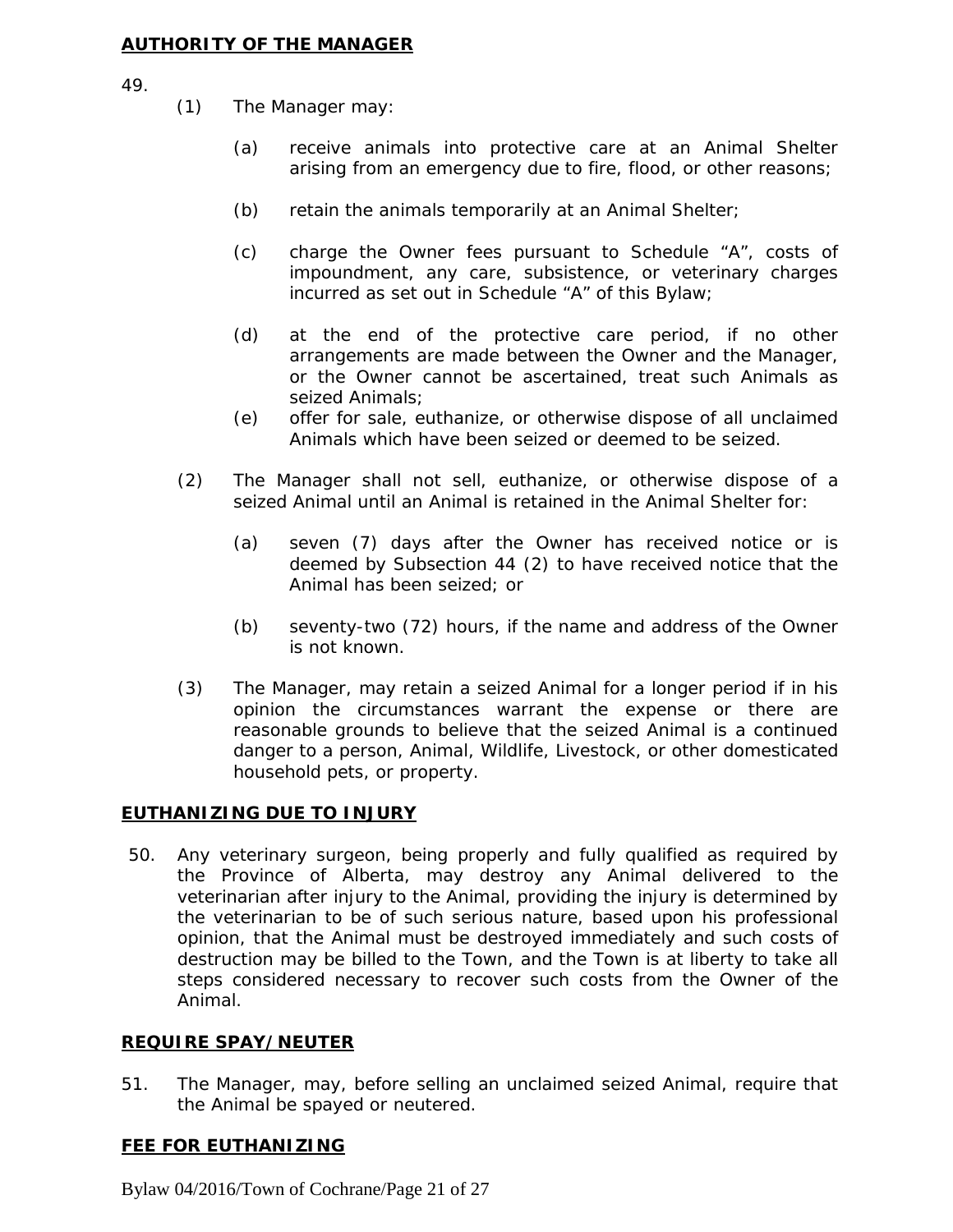#### **AUTHORITY OF THE MANAGER**

49.

- (1) The Manager may:
	- (a) receive animals into protective care at an Animal Shelter arising from an emergency due to fire, flood, or other reasons;
	- (b) retain the animals temporarily at an Animal Shelter;
	- (c) charge the Owner fees pursuant to Schedule "A", costs of impoundment, any care, subsistence, or veterinary charges incurred as set out in Schedule "A" of this Bylaw;
	- (d) at the end of the protective care period, if no other arrangements are made between the Owner and the Manager, or the Owner cannot be ascertained, treat such Animals as seized Animals;
	- (e) offer for sale, euthanize, or otherwise dispose of all unclaimed Animals which have been seized or deemed to be seized.
- (2) The Manager shall not sell, euthanize, or otherwise dispose of a seized Animal until an Animal is retained in the Animal Shelter for:
	- (a) seven (7) days after the Owner has received notice or is deemed by Subsection 44 (2) to have received notice that the Animal has been seized; or
	- (b) seventy-two (72) hours, if the name and address of the Owner is not known.
- (3) The Manager, may retain a seized Animal for a longer period if in his opinion the circumstances warrant the expense or there are reasonable grounds to believe that the seized Animal is a continued danger to a person, Animal, Wildlife, Livestock, or other domesticated household pets, or property.

#### **EUTHANIZING DUE TO INJURY**

50. Any veterinary surgeon, being properly and fully qualified as required by the Province of Alberta, may destroy any Animal delivered to the veterinarian after injury to the Animal, providing the injury is determined by the veterinarian to be of such serious nature, based upon his professional opinion, that the Animal must be destroyed immediately and such costs of destruction may be billed to the Town, and the Town is at liberty to take all steps considered necessary to recover such costs from the Owner of the Animal.

#### **REQUIRE SPAY/NEUTER**

51. The Manager, may, before selling an unclaimed seized Animal, require that the Animal be spayed or neutered.

#### **FEE FOR EUTHANIZING**

Bylaw 04/2016/Town of Cochrane/Page 21 of 27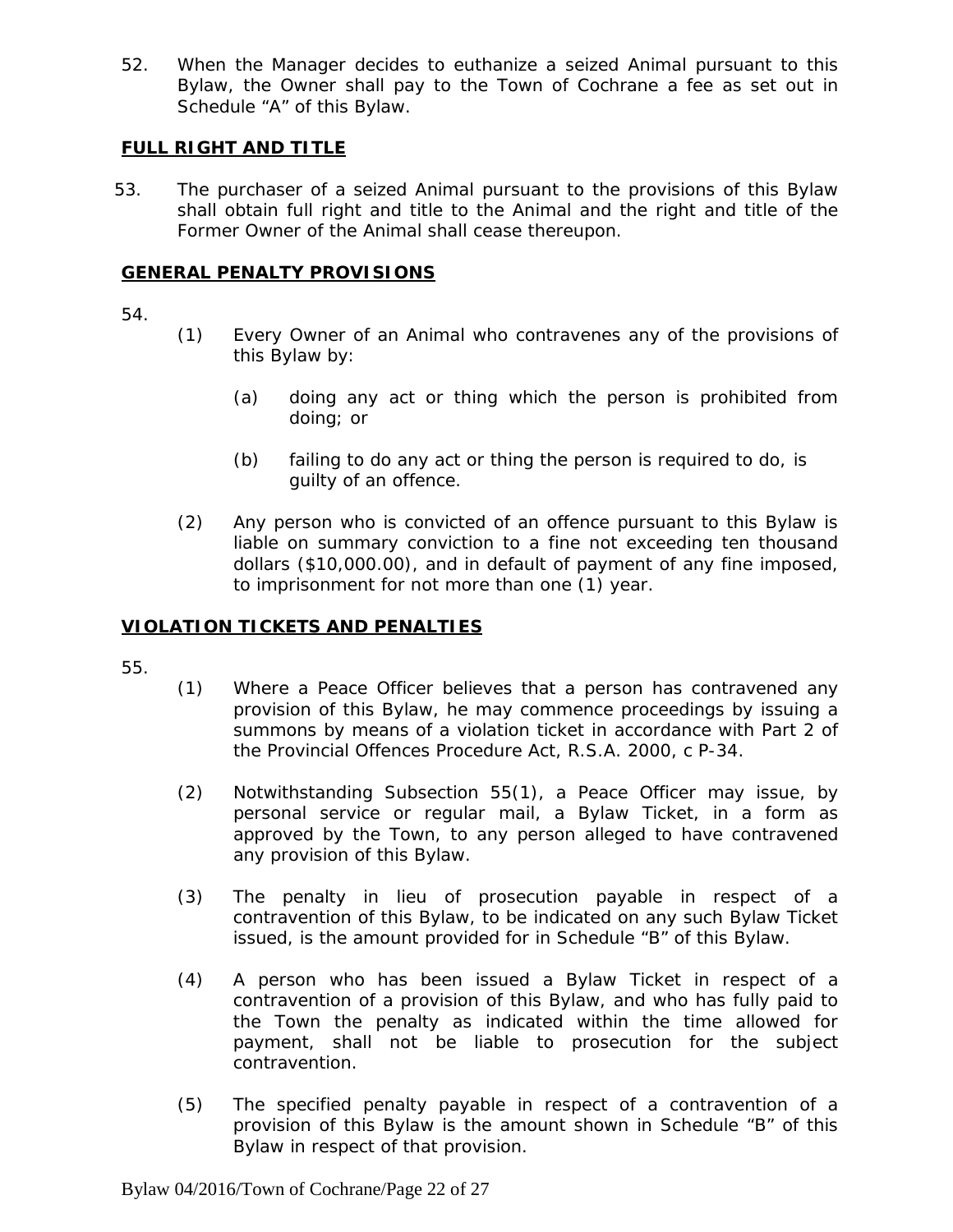52. When the Manager decides to euthanize a seized Animal pursuant to this Bylaw, the Owner shall pay to the Town of Cochrane a fee as set out in Schedule "A" of this Bylaw.

# **FULL RIGHT AND TITLE**

53. The purchaser of a seized Animal pursuant to the provisions of this Bylaw shall obtain full right and title to the Animal and the right and title of the Former Owner of the Animal shall cease thereupon.

# **GENERAL PENALTY PROVISIONS**

54.

- (1) Every Owner of an Animal who contravenes any of the provisions of this Bylaw by:
	- (a) doing any act or thing which the person is prohibited from doing; or
	- (b) failing to do any act or thing the person is required to do, is guilty of an offence.
- (2) Any person who is convicted of an offence pursuant to this Bylaw is liable on summary conviction to a fine not exceeding ten thousand dollars (\$10,000.00), and in default of payment of any fine imposed, to imprisonment for not more than one (1) year.

#### **VIOLATION TICKETS AND PENALTIES**

- (1) Where a Peace Officer believes that a person has contravened any provision of this Bylaw, he may commence proceedings by issuing a summons by means of a violation ticket in accordance with Part 2 of the *Provincial Offences Procedure Act*, R.S.A. 2000, c P-34.
- (2) Notwithstanding Subsection 55(1), a Peace Officer may issue, by personal service or regular mail, a Bylaw Ticket, in a form as approved by the Town, to any person alleged to have contravened any provision of this Bylaw.
- (3) The penalty in lieu of prosecution payable in respect of a contravention of this Bylaw, to be indicated on any such Bylaw Ticket issued, is the amount provided for in Schedule "B" of this Bylaw.
- (4) A person who has been issued a Bylaw Ticket in respect of a contravention of a provision of this Bylaw, and who has fully paid to the Town the penalty as indicated within the time allowed for payment, shall not be liable to prosecution for the subject contravention.
- (5) The specified penalty payable in respect of a contravention of a provision of this Bylaw is the amount shown in Schedule "B" of this Bylaw in respect of that provision.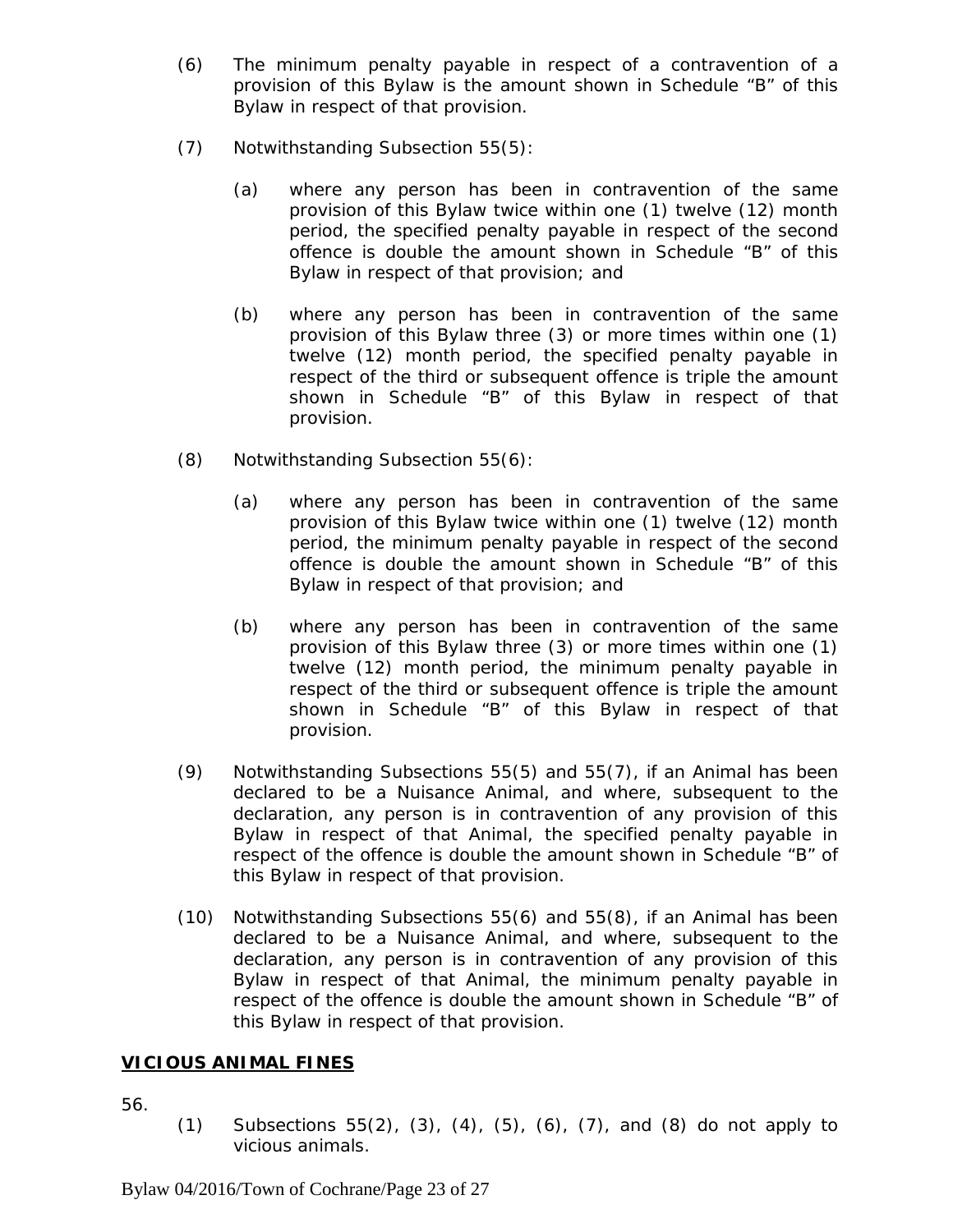- (6) The minimum penalty payable in respect of a contravention of a provision of this Bylaw is the amount shown in Schedule "B" of this Bylaw in respect of that provision.
- (7) Notwithstanding Subsection 55(5):
	- (a) where any person has been in contravention of the same provision of this Bylaw twice within one (1) twelve (12) month period, the specified penalty payable in respect of the second offence is double the amount shown in Schedule "B" of this Bylaw in respect of that provision; and
	- (b) where any person has been in contravention of the same provision of this Bylaw three (3) or more times within one (1) twelve (12) month period, the specified penalty payable in respect of the third or subsequent offence is triple the amount shown in Schedule "B" of this Bylaw in respect of that provision.
- (8) Notwithstanding Subsection 55(6):
	- (a) where any person has been in contravention of the same provision of this Bylaw twice within one (1) twelve (12) month period, the minimum penalty payable in respect of the second offence is double the amount shown in Schedule "B" of this Bylaw in respect of that provision; and
	- (b) where any person has been in contravention of the same provision of this Bylaw three (3) or more times within one (1) twelve (12) month period, the minimum penalty payable in respect of the third or subsequent offence is triple the amount shown in Schedule "B" of this Bylaw in respect of that provision.
- (9) Notwithstanding Subsections 55(5) and 55(7), if an Animal has been declared to be a Nuisance Animal, and where, subsequent to the declaration, any person is in contravention of any provision of this Bylaw in respect of that Animal, the specified penalty payable in respect of the offence is double the amount shown in Schedule "B" of this Bylaw in respect of that provision.
- (10) Notwithstanding Subsections 55(6) and 55(8), if an Animal has been declared to be a Nuisance Animal, and where, subsequent to the declaration, any person is in contravention of any provision of this Bylaw in respect of that Animal, the minimum penalty payable in respect of the offence is double the amount shown in Schedule "B" of this Bylaw in respect of that provision.

# **VICIOUS ANIMAL FINES**

56.

(1) Subsections 55(2), (3), (4), (5), (6), (7), and (8) do not apply to vicious animals.

Bylaw 04/2016/Town of Cochrane/Page 23 of 27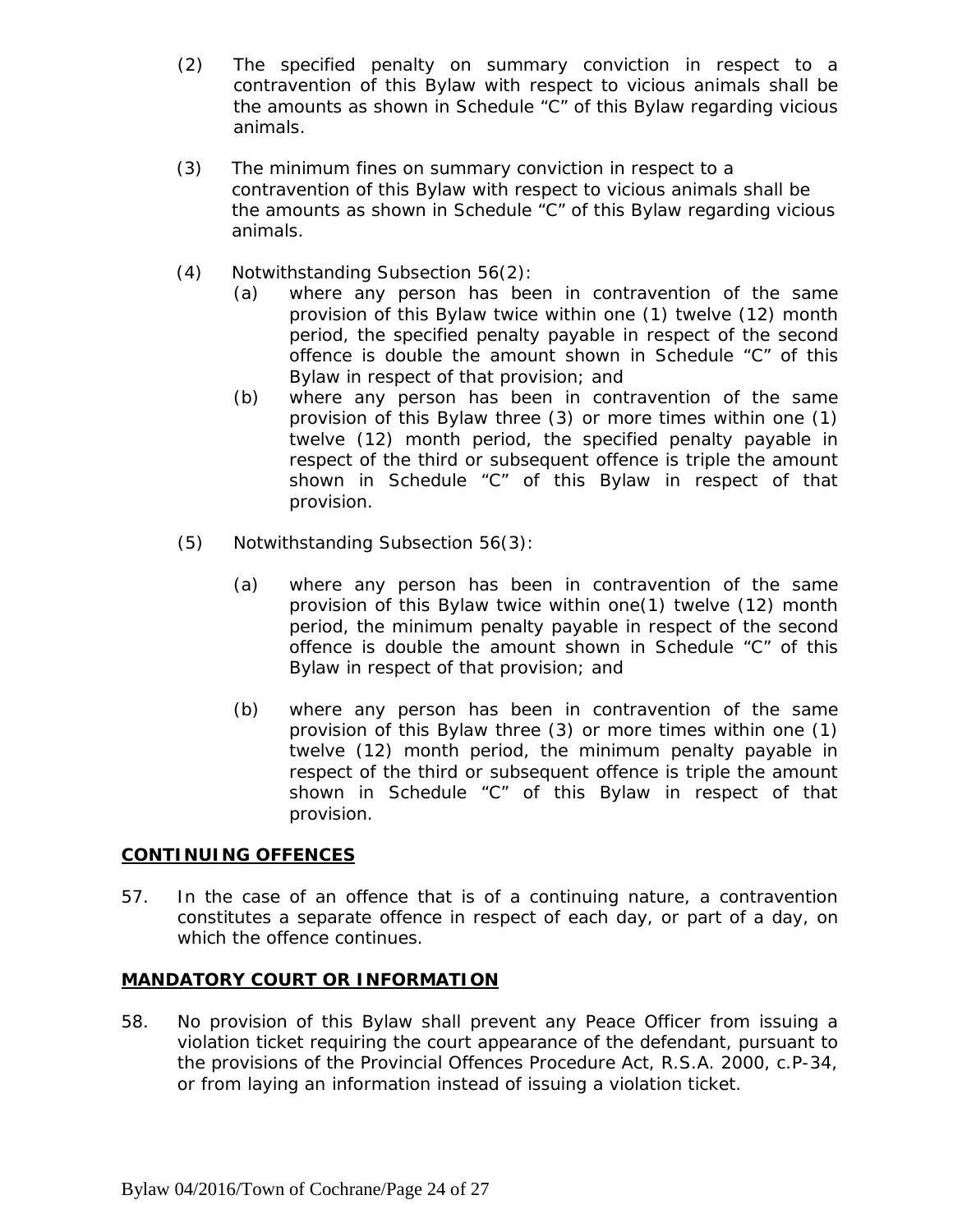- (2) The specified penalty on summary conviction in respect to a contravention of this Bylaw with respect to vicious animals shall be the amounts as shown in Schedule "C" of this Bylaw regarding vicious animals.
- (3) The minimum fines on summary conviction in respect to a contravention of this Bylaw with respect to vicious animals shall be the amounts as shown in Schedule "C" of this Bylaw regarding vicious animals.
- (4) Notwithstanding Subsection 56(2):
	- (a) where any person has been in contravention of the same provision of this Bylaw twice within one (1) twelve (12) month period, the specified penalty payable in respect of the second offence is double the amount shown in Schedule "C" of this Bylaw in respect of that provision; and
	- (b) where any person has been in contravention of the same provision of this Bylaw three (3) or more times within one (1) twelve (12) month period, the specified penalty payable in respect of the third or subsequent offence is triple the amount shown in Schedule "C" of this Bylaw in respect of that provision.
- (5) Notwithstanding Subsection 56(3):
	- (a) where any person has been in contravention of the same provision of this Bylaw twice within one(1) twelve (12) month period, the minimum penalty payable in respect of the second offence is double the amount shown in Schedule "C" of this Bylaw in respect of that provision; and
	- (b) where any person has been in contravention of the same provision of this Bylaw three (3) or more times within one (1) twelve (12) month period, the minimum penalty payable in respect of the third or subsequent offence is triple the amount shown in Schedule "C" of this Bylaw in respect of that provision.

#### **CONTINUING OFFENCES**

57. In the case of an offence that is of a continuing nature, a contravention constitutes a separate offence in respect of each day, or part of a day, on which the offence continues.

#### **MANDATORY COURT OR INFORMATION**

58. No provision of this Bylaw shall prevent any Peace Officer from issuing a violation ticket requiring the court appearance of the defendant, pursuant to the provisions of the *Provincial Offences Procedure Act*, R.S.A. 2000, c.P-34, or from laying an information instead of issuing a violation ticket.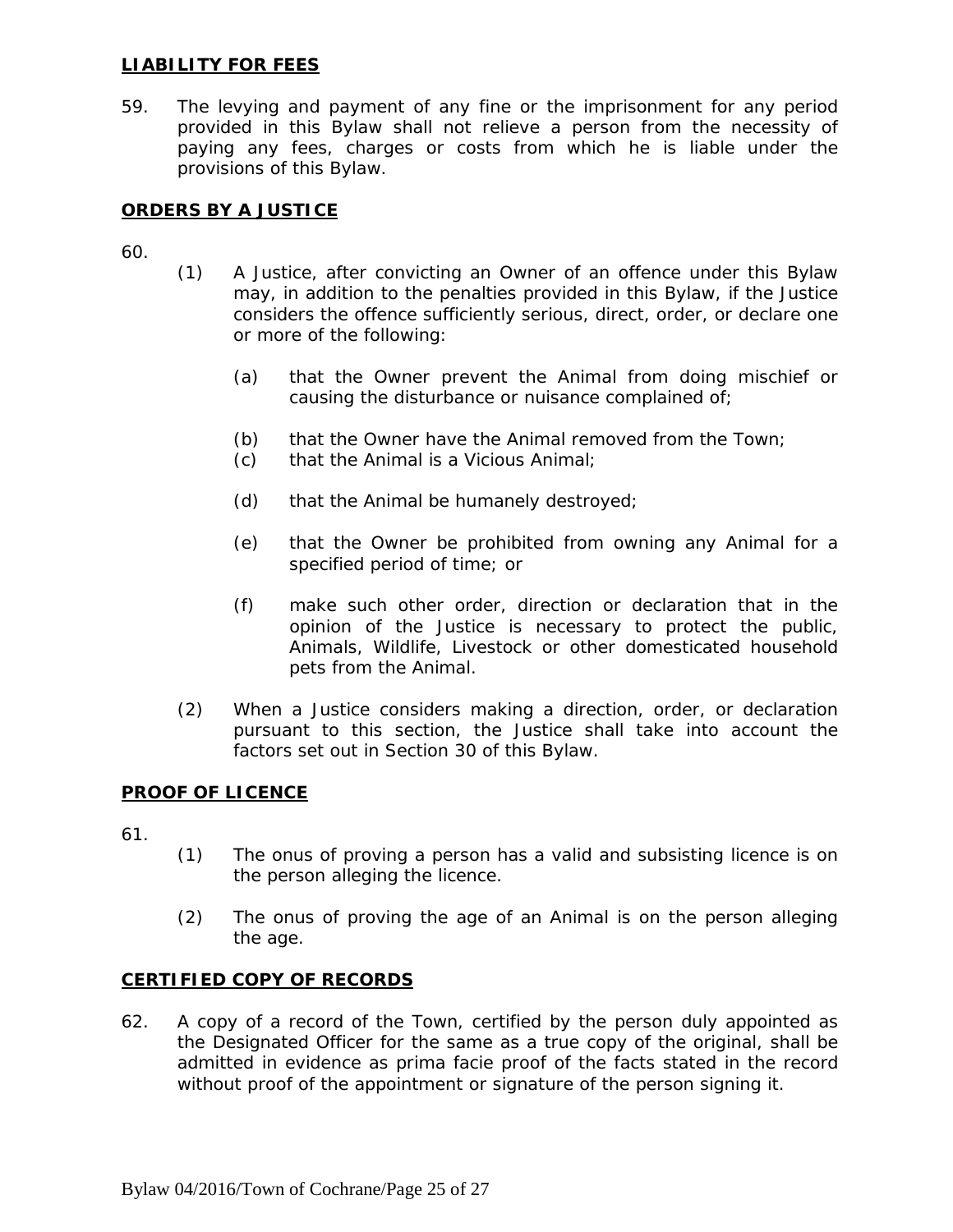#### **LIABILITY FOR FEES**

59. The levying and payment of any fine or the imprisonment for any period provided in this Bylaw shall not relieve a person from the necessity of paying any fees, charges or costs from which he is liable under the provisions of this Bylaw.

# **ORDERS BY A JUSTICE**

60.

- (1) A Justice, after convicting an Owner of an offence under this Bylaw may, in addition to the penalties provided in this Bylaw, if the Justice considers the offence sufficiently serious, direct, order, or declare one or more of the following:
	- (a) that the Owner prevent the Animal from doing mischief or causing the disturbance or nuisance complained of;
	- (b) that the Owner have the Animal removed from the Town;
	- (c) that the Animal is a Vicious Animal;
	- (d) that the Animal be humanely destroyed;
	- (e) that the Owner be prohibited from owning any Animal for a specified period of time; or
	- (f) make such other order, direction or declaration that in the opinion of the Justice is necessary to protect the public, Animals, Wildlife, Livestock or other domesticated household pets from the Animal.
- (2) When a Justice considers making a direction, order, or declaration pursuant to this section, the Justice shall take into account the factors set out in Section 30 of this Bylaw.

#### **PROOF OF LICENCE**

- 61.
- (1) The onus of proving a person has a valid and subsisting licence is on the person alleging the licence.
- (2) The onus of proving the age of an Animal is on the person alleging the age.

#### **CERTIFIED COPY OF RECORDS**

62. A copy of a record of the Town, certified by the person duly appointed as the Designated Officer for the same as a true copy of the original, shall be admitted in evidence as prima facie proof of the facts stated in the record without proof of the appointment or signature of the person signing it.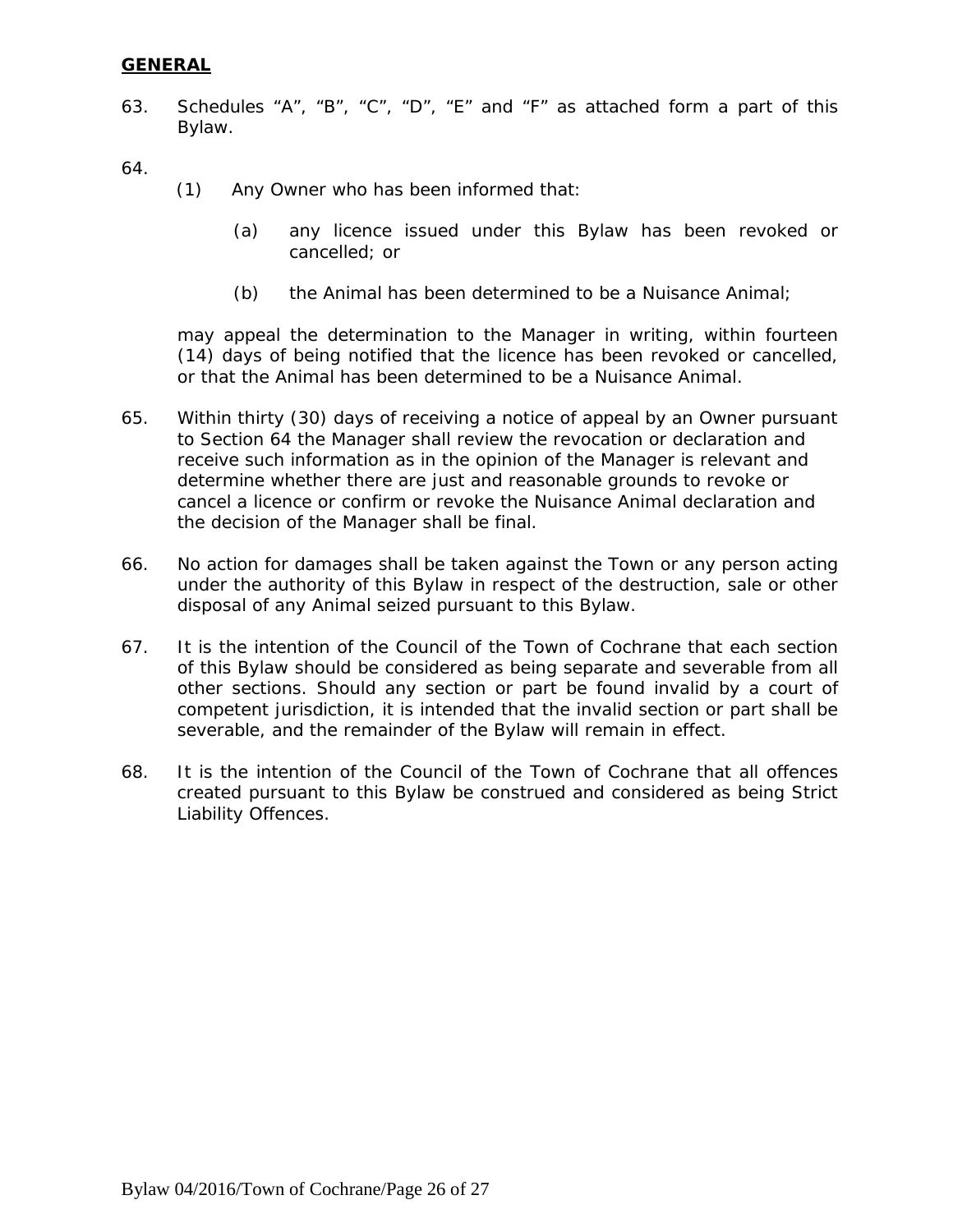#### **GENERAL**

63. Schedules "A", "B", "C", "D", "E" and "F" as attached form a part of this Bylaw.

64.

- (1) Any Owner who has been informed that:
	- (a) any licence issued under this Bylaw has been revoked or cancelled; or
	- (b) the Animal has been determined to be a Nuisance Animal;

may appeal the determination to the Manager in writing, within fourteen (14) days of being notified that the licence has been revoked or cancelled, or that the Animal has been determined to be a Nuisance Animal.

- 65. Within thirty (30) days of receiving a notice of appeal by an Owner pursuant to Section 64 the Manager shall review the revocation or declaration and receive such information as in the opinion of the Manager is relevant and determine whether there are just and reasonable grounds to revoke or cancel a licence or confirm or revoke the Nuisance Animal declaration and the decision of the Manager shall be final.
- 66. No action for damages shall be taken against the Town or any person acting under the authority of this Bylaw in respect of the destruction, sale or other disposal of any Animal seized pursuant to this Bylaw.
- 67. It is the intention of the Council of the Town of Cochrane that each section of this Bylaw should be considered as being separate and severable from all other sections. Should any section or part be found invalid by a court of competent jurisdiction, it is intended that the invalid section or part shall be severable, and the remainder of the Bylaw will remain in effect.
- 68. It is the intention of the Council of the Town of Cochrane that all offences created pursuant to this Bylaw be construed and considered as being Strict Liability Offences.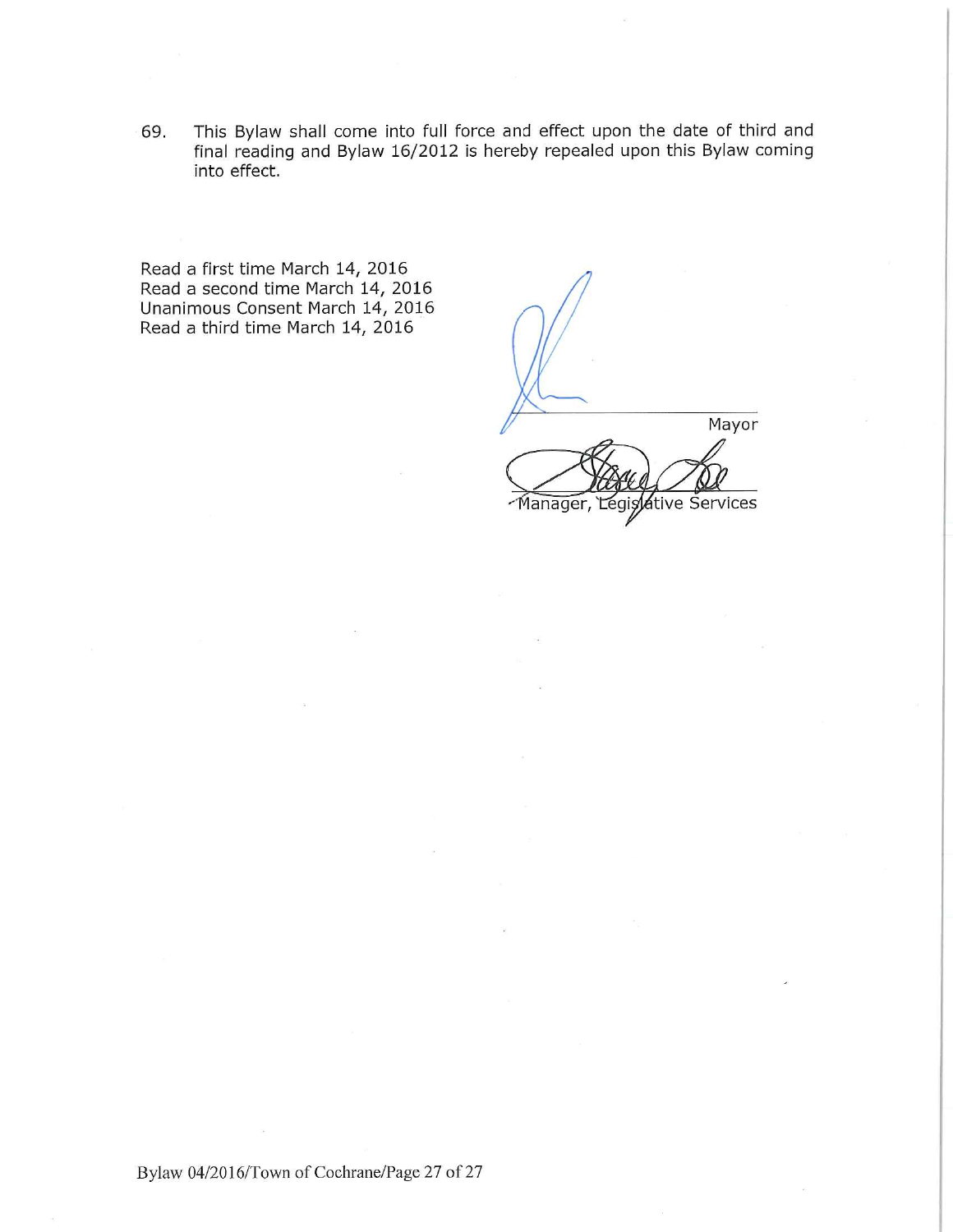This Bylaw shall come into full force and effect upon the date of third and 69. final reading and Bylaw 16/2012 is hereby repealed upon this Bylaw coming into effect.

Read a first time March 14, 2016 Read a second time March 14, 2016 Unanimous Consent March 14, 2016 Read a third time March 14, 2016

Mayor Legisdive Services Manager,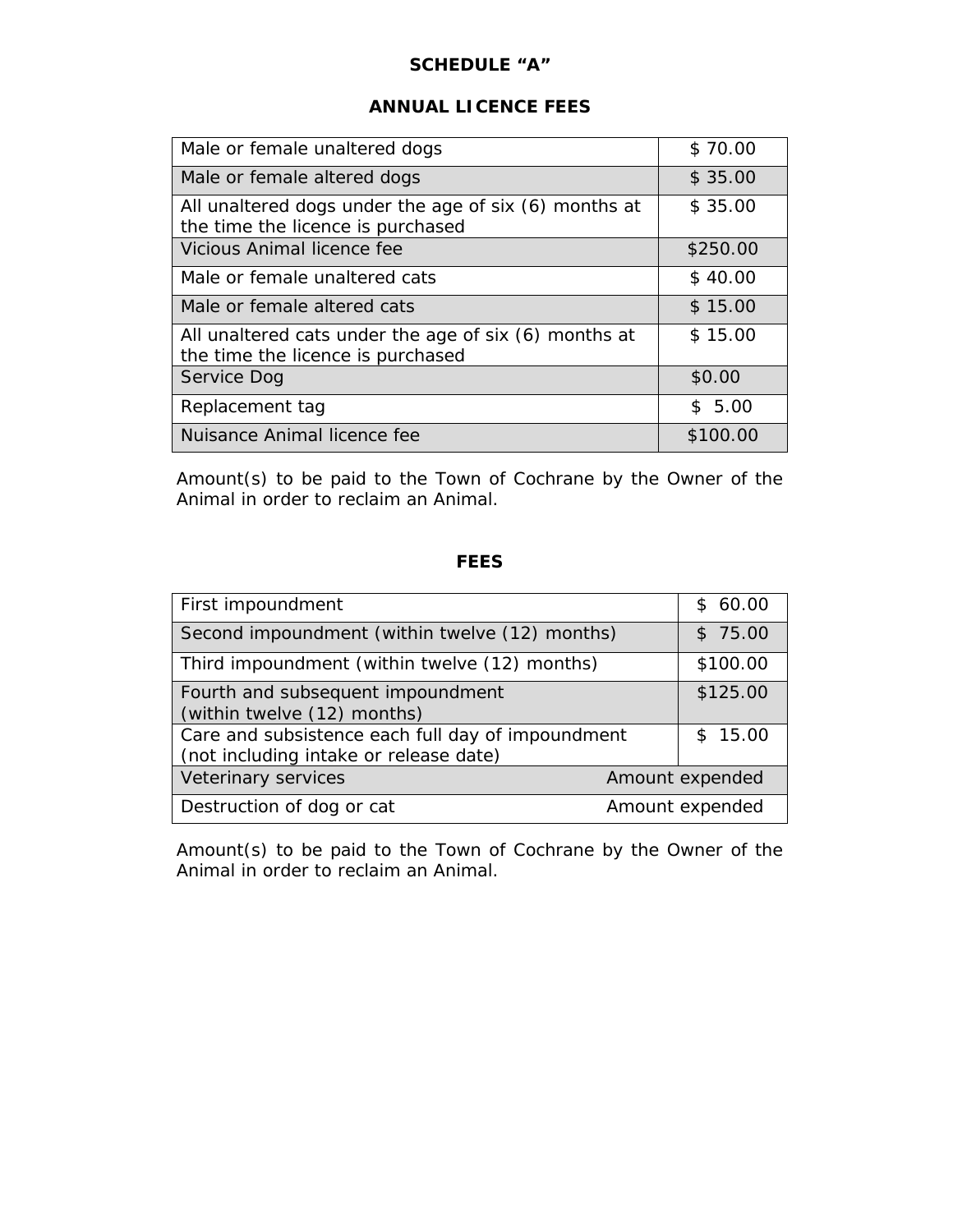#### **SCHEDULE "A"**

#### **ANNUAL LICENCE FEES**

| Male or female unaltered dogs                                                              | \$70.00  |
|--------------------------------------------------------------------------------------------|----------|
| Male or female altered dogs                                                                | \$35.00  |
| All unaltered dogs under the age of six (6) months at<br>the time the licence is purchased | \$35.00  |
| Vicious Animal licence fee                                                                 | \$250.00 |
| Male or female unaltered cats                                                              | \$40.00  |
| Male or female altered cats                                                                | \$15.00  |
| All unaltered cats under the age of six (6) months at<br>the time the licence is purchased | \$15.00  |
| Service Dog                                                                                | \$0.00   |
| Replacement tag                                                                            | \$5.00   |
| Nuisance Animal licence fee                                                                | \$100.00 |

Amount(s) to be paid to the Town of Cochrane by the Owner of the Animal in order to reclaim an Animal.

# **FEES**

| First impoundment                                                                           | \$60.00         |
|---------------------------------------------------------------------------------------------|-----------------|
| Second impoundment (within twelve (12) months)                                              | \$75.00         |
| Third impoundment (within twelve (12) months)                                               | \$100.00        |
| Fourth and subsequent impoundment<br>(within twelve (12) months)                            | \$125.00        |
| Care and subsistence each full day of impoundment<br>(not including intake or release date) | \$15.00         |
| Veterinary services                                                                         | Amount expended |
| Destruction of dog or cat                                                                   | Amount expended |

Amount(s) to be paid to the Town of Cochrane by the Owner of the Animal in order to reclaim an Animal.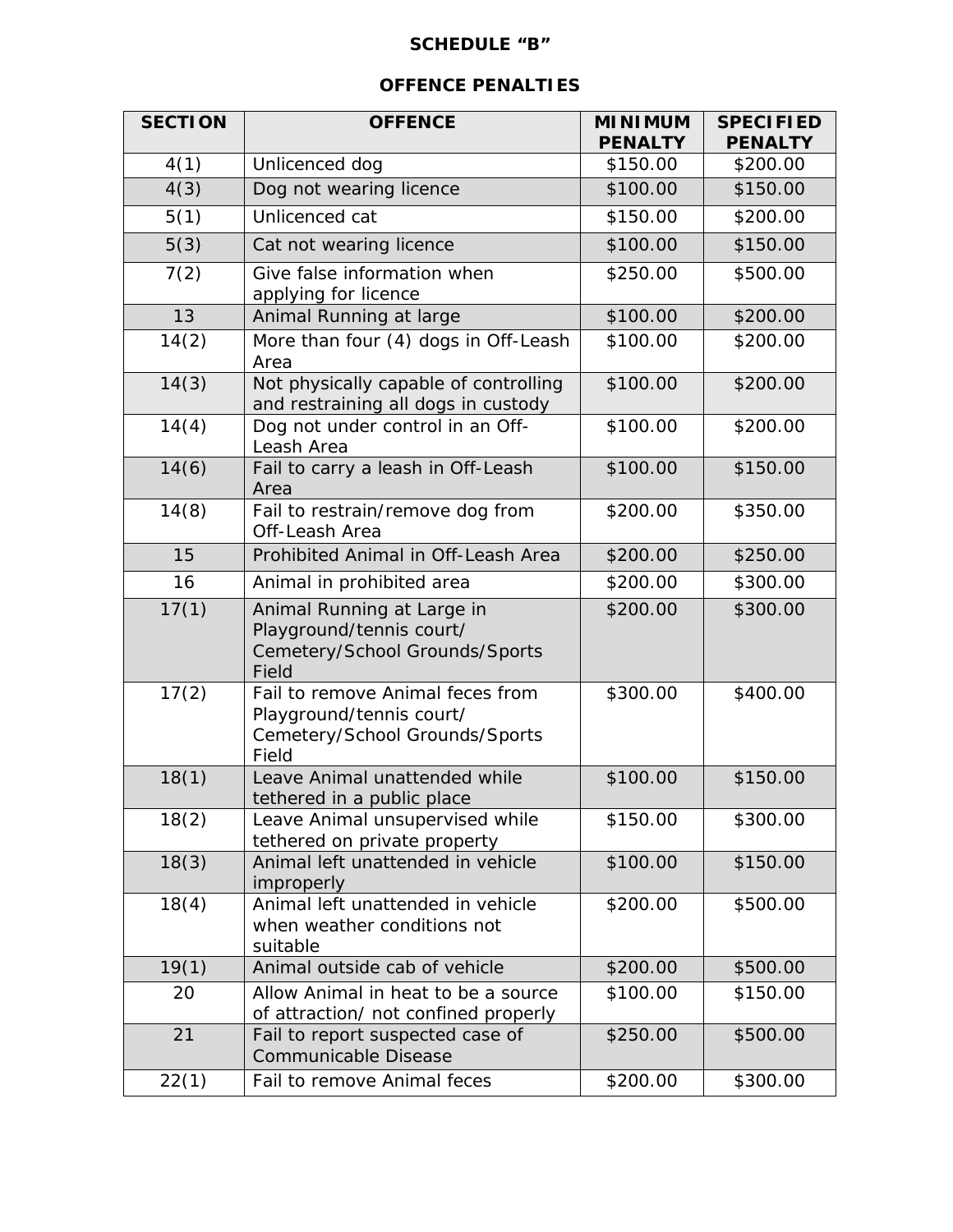# **SCHEDULE "B"**

# **OFFENCE PENALTIES**

| <b>SECTION</b> | <b>OFFENCE</b>                                                                                          | <b>MINIMUM</b><br><b>PENALTY</b> | <b>SPECIFIED</b><br><b>PENALTY</b> |
|----------------|---------------------------------------------------------------------------------------------------------|----------------------------------|------------------------------------|
| 4(1)           | Unlicenced dog                                                                                          | \$150.00                         | \$200.00                           |
| 4(3)           | Dog not wearing licence                                                                                 | \$100.00                         | \$150.00                           |
| 5(1)           | Unlicenced cat                                                                                          | \$150.00                         | \$200.00                           |
| 5(3)           | Cat not wearing licence                                                                                 | \$100.00                         | \$150.00                           |
| 7(2)           | Give false information when<br>applying for licence                                                     | \$250.00                         | \$500.00                           |
| 13             | Animal Running at large                                                                                 | \$100.00                         | \$200.00                           |
| 14(2)          | More than four (4) dogs in Off-Leash<br>Area                                                            | \$100.00                         | \$200.00                           |
| 14(3)          | Not physically capable of controlling<br>and restraining all dogs in custody                            | \$100.00                         | \$200.00                           |
| 14(4)          | Dog not under control in an Off-<br>Leash Area                                                          | \$100.00                         | \$200.00                           |
| 14(6)          | Fail to carry a leash in Off-Leash<br>Area                                                              | \$100.00                         | \$150.00                           |
| 14(8)          | Fail to restrain/remove dog from<br>Off-Leash Area                                                      | \$200.00                         | \$350.00                           |
| 15             | Prohibited Animal in Off-Leash Area                                                                     | \$200.00                         | \$250.00                           |
| 16             | Animal in prohibited area                                                                               | \$200.00                         | \$300.00                           |
| 17(1)          | Animal Running at Large in<br>Playground/tennis court/<br>Cemetery/School Grounds/Sports<br>Field       | \$200.00                         | \$300.00                           |
| 17(2)          | Fail to remove Animal feces from<br>Playground/tennis court/<br>Cemetery/School Grounds/Sports<br>Field | \$300.00                         | \$400.00                           |
| 18(1)          | Leave Animal unattended while<br>tethered in a public place                                             | \$100.00                         | \$150.00                           |
| 18(2)          | Leave Animal unsupervised while<br>tethered on private property                                         | \$150.00                         | \$300.00                           |
| 18(3)          | Animal left unattended in vehicle<br>improperly                                                         | \$100.00                         | \$150.00                           |
| 18(4)          | Animal left unattended in vehicle<br>when weather conditions not<br>suitable                            | \$200.00                         | \$500.00                           |
| 19(1)          | Animal outside cab of vehicle                                                                           | \$200.00                         | \$500.00                           |
| 20             | Allow Animal in heat to be a source<br>of attraction/ not confined properly                             | \$100.00                         | \$150.00                           |
| 21             | Fail to report suspected case of<br>Communicable Disease                                                | \$250.00                         | \$500.00                           |
| 22(1)          | Fail to remove Animal feces                                                                             | \$200.00                         | \$300.00                           |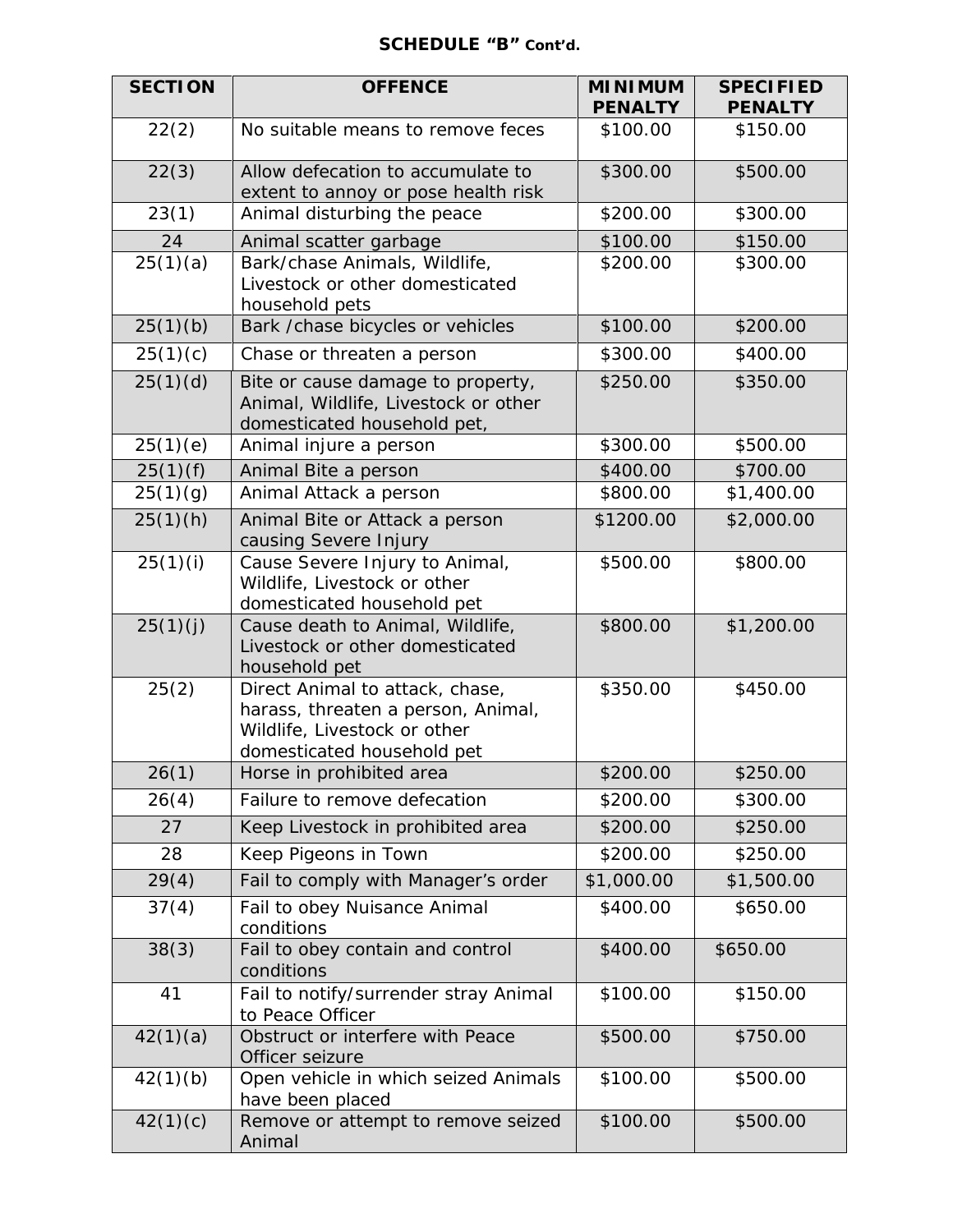#### **SCHEDULE "B" Cont'd.**

| <b>SECTION</b> | <b>OFFENCE</b>                                                                                                                      | <b>MINIMUM</b><br><b>PENALTY</b> | <b>SPECIFIED</b><br><b>PENALTY</b> |
|----------------|-------------------------------------------------------------------------------------------------------------------------------------|----------------------------------|------------------------------------|
| 22(2)          | No suitable means to remove feces                                                                                                   | \$100.00                         | \$150.00                           |
| 22(3)          | Allow defecation to accumulate to<br>extent to annoy or pose health risk                                                            | \$300.00                         | \$500.00                           |
| 23(1)          | Animal disturbing the peace                                                                                                         | \$200.00                         | \$300.00                           |
| 24             | Animal scatter garbage                                                                                                              | \$100.00                         | \$150.00                           |
| 25(1)(a)       | Bark/chase Animals, Wildlife,<br>Livestock or other domesticated<br>household pets                                                  | \$200.00                         | \$300.00                           |
| 25(1)(b)       | Bark / chase bicycles or vehicles                                                                                                   | \$100.00                         | \$200.00                           |
| 25(1)(c)       | Chase or threaten a person                                                                                                          | \$300.00                         | \$400.00                           |
| 25(1)(d)       | Bite or cause damage to property,<br>Animal, Wildlife, Livestock or other<br>domesticated household pet,                            | \$250.00                         | \$350.00                           |
| 25(1)(e)       | Animal injure a person                                                                                                              | \$300.00                         | \$500.00                           |
| 25(1)(f)       | Animal Bite a person                                                                                                                | \$400.00                         | \$700.00                           |
| 25(1)(g)       | Animal Attack a person                                                                                                              | \$800.00                         | \$1,400.00                         |
| 25(1)(h)       | Animal Bite or Attack a person<br>causing Severe Injury                                                                             | \$1200.00                        | \$2,000.00                         |
| 25(1)(i)       | Cause Severe Injury to Animal,<br>Wildlife, Livestock or other<br>domesticated household pet                                        | \$500.00                         | \$800.00                           |
| 25(1)(j)       | Cause death to Animal, Wildlife,<br>Livestock or other domesticated<br>household pet                                                | \$800.00                         | \$1,200.00                         |
| 25(2)          | Direct Animal to attack, chase,<br>harass, threaten a person, Animal,<br>Wildlife, Livestock or other<br>domesticated household pet | \$350.00                         | \$450.00                           |
| 26(1)          | Horse in prohibited area                                                                                                            | \$200.00                         | \$250.00                           |
| 26(4)          | Failure to remove defecation                                                                                                        | \$200.00                         | \$300.00                           |
| 27             | Keep Livestock in prohibited area                                                                                                   | \$200.00                         | \$250.00                           |
| 28             | Keep Pigeons in Town                                                                                                                | \$200.00                         | \$250.00                           |
| 29(4)          | Fail to comply with Manager's order                                                                                                 | \$1,000.00                       | \$1,500.00                         |
| 37(4)          | Fail to obey Nuisance Animal<br>conditions                                                                                          | \$400.00                         | \$650.00                           |
| 38(3)          | Fail to obey contain and control<br>conditions                                                                                      | \$400.00                         | \$650.00                           |
| 41             | Fail to notify/surrender stray Animal<br>to Peace Officer                                                                           | \$100.00                         | \$150.00                           |
| 42(1)(a)       | Obstruct or interfere with Peace<br>Officer seizure                                                                                 | \$500.00                         | \$750.00                           |
| 42(1)(b)       | Open vehicle in which seized Animals<br>have been placed                                                                            | \$100.00                         | \$500.00                           |
| 42(1)(c)       | Remove or attempt to remove seized<br>Animal                                                                                        | \$100.00                         | \$500.00                           |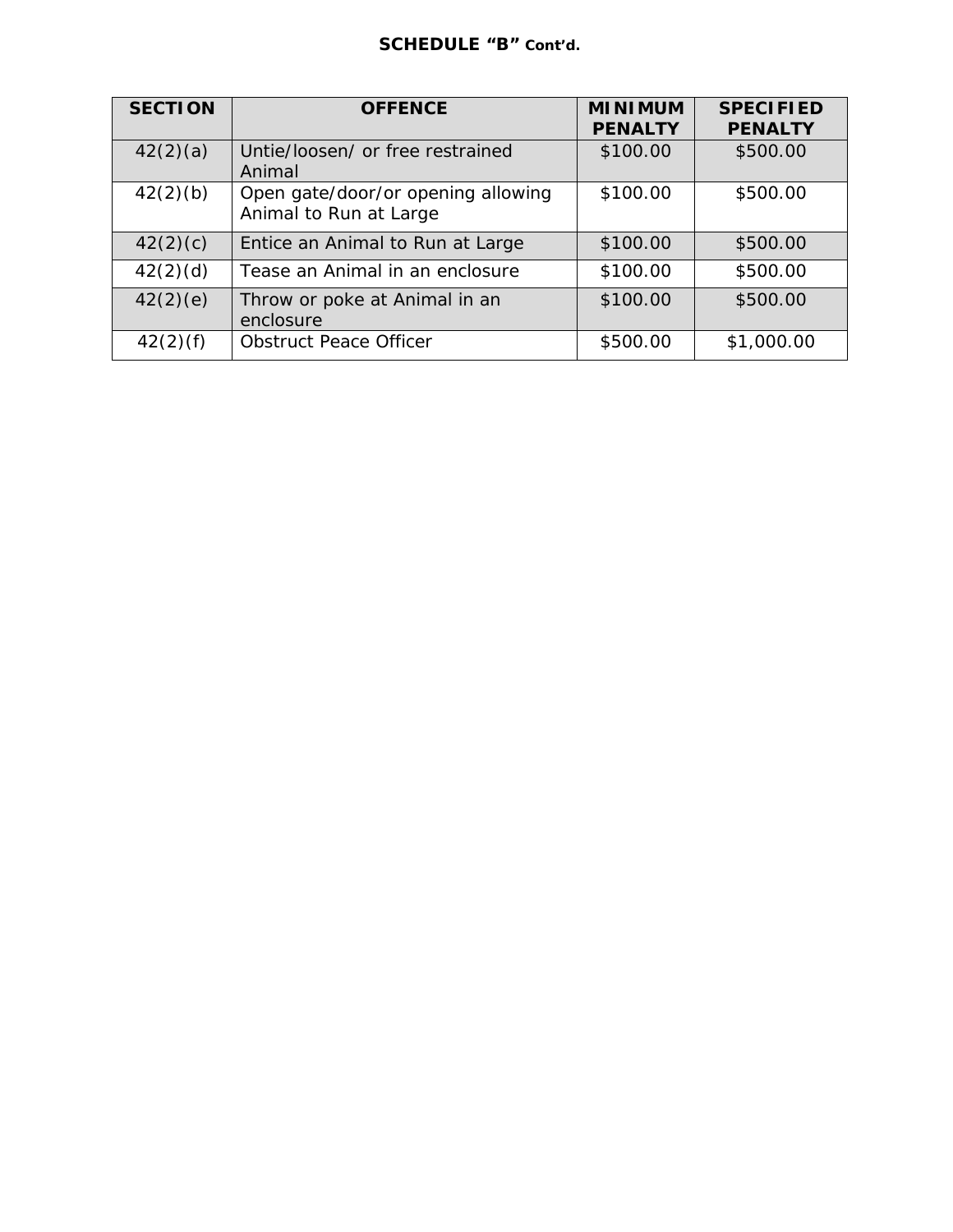# **SCHEDULE "B" Cont'd.**

| <b>SECTION</b> | <b>OFFENCE</b>                                               | <b>MINIMUM</b><br><b>PENALTY</b> | <b>SPECIFIED</b><br><b>PENALTY</b> |
|----------------|--------------------------------------------------------------|----------------------------------|------------------------------------|
| 42(2)(a)       | Untie/loosen/ or free restrained<br>Animal                   | \$100.00                         | \$500.00                           |
| 42(2)(b)       | Open gate/door/or opening allowing<br>Animal to Run at Large | \$100.00                         | \$500.00                           |
| 42(2)(c)       | Entice an Animal to Run at Large                             | \$100.00                         | \$500.00                           |
| 42(2)(d)       | Tease an Animal in an enclosure                              | \$100.00                         | \$500.00                           |
| 42(2)(e)       | Throw or poke at Animal in an<br>enclosure                   | \$100.00                         | \$500.00                           |
| 42(2)(f)       | <b>Obstruct Peace Officer</b>                                | \$500.00                         | \$1,000.00                         |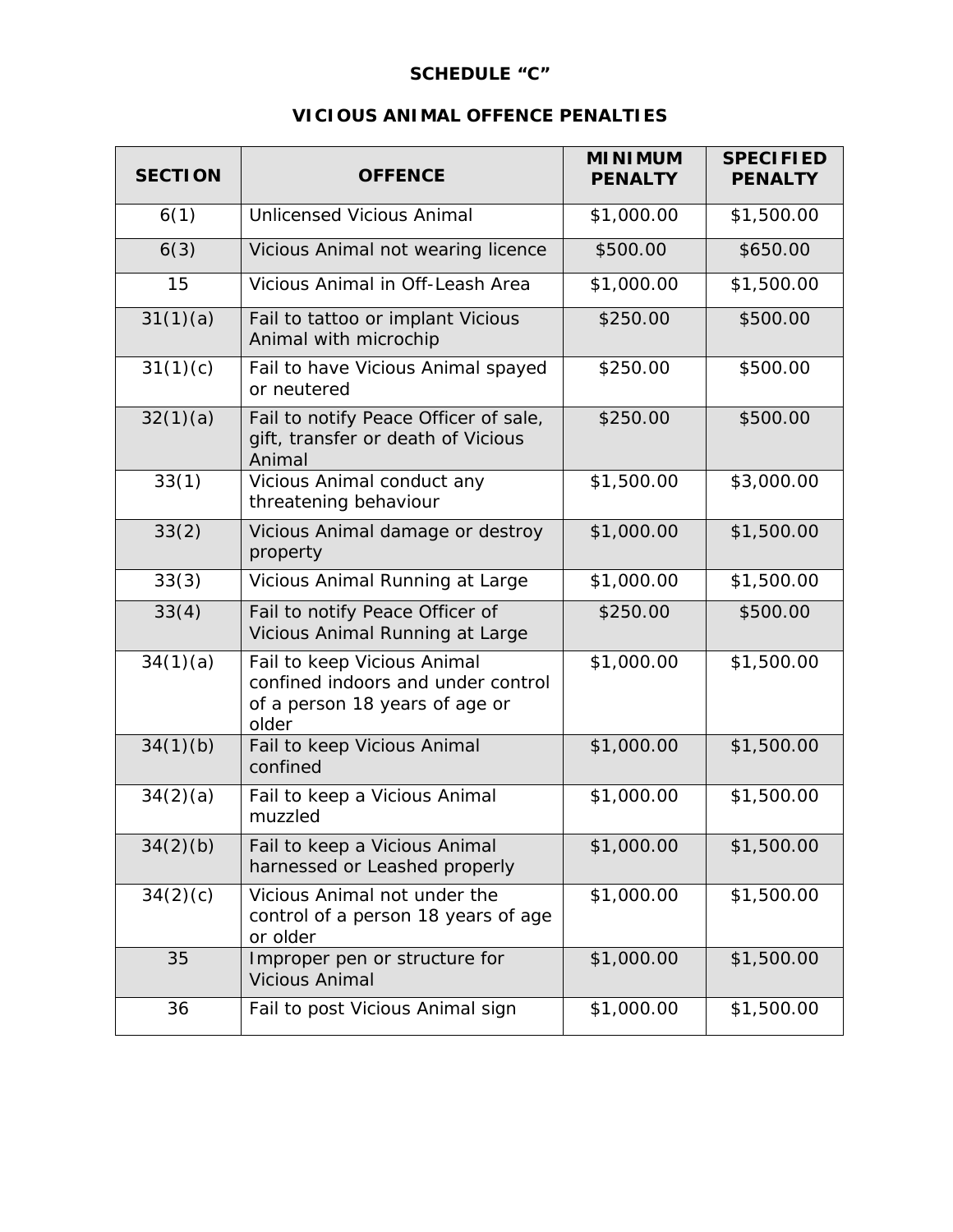# **SCHEDULE "C"**

# **VICIOUS ANIMAL OFFENCE PENALTIES**

| <b>SECTION</b> | <b>OFFENCE</b>                                                                                               | <b>MINIMUM</b><br><b>PENALTY</b> | <b>SPECIFIED</b><br><b>PENALTY</b> |
|----------------|--------------------------------------------------------------------------------------------------------------|----------------------------------|------------------------------------|
| 6(1)           | <b>Unlicensed Vicious Animal</b>                                                                             | \$1,000.00                       | \$1,500.00                         |
| 6(3)           | Vicious Animal not wearing licence                                                                           | \$500.00                         | \$650.00                           |
| 15             | Vicious Animal in Off-Leash Area                                                                             | \$1,000.00                       | \$1,500.00                         |
| 31(1)(a)       | Fail to tattoo or implant Vicious<br>Animal with microchip                                                   | \$250.00                         | \$500.00                           |
| 31(1)(c)       | Fail to have Vicious Animal spayed<br>or neutered                                                            | \$250.00                         | \$500.00                           |
| 32(1)(a)       | Fail to notify Peace Officer of sale,<br>gift, transfer or death of Vicious<br>Animal                        | \$250.00                         | \$500.00                           |
| 33(1)          | Vicious Animal conduct any<br>threatening behaviour                                                          | \$1,500.00                       | \$3,000.00                         |
| 33(2)          | Vicious Animal damage or destroy<br>property                                                                 | \$1,000.00                       | \$1,500.00                         |
| 33(3)          | Vicious Animal Running at Large                                                                              | \$1,000.00                       | \$1,500.00                         |
| 33(4)          | Fail to notify Peace Officer of<br>Vicious Animal Running at Large                                           | \$250.00                         | \$500.00                           |
| 34(1)(a)       | Fail to keep Vicious Animal<br>confined indoors and under control<br>of a person 18 years of age or<br>older | \$1,000.00                       | \$1,500.00                         |
| 34(1)(b)       | Fail to keep Vicious Animal<br>confined                                                                      | \$1,000.00                       | \$1,500.00                         |
| 34(2)(a)       | Fail to keep a Vicious Animal<br>muzzled                                                                     | \$1,000.00                       | \$1,500.00                         |
| 34(2)(b)       | Fail to keep a Vicious Animal<br>harnessed or Leashed properly                                               | \$1,000.00                       | \$1,500.00                         |
| 34(2)(c)       | Vicious Animal not under the<br>control of a person 18 years of age<br>or older                              | \$1,000.00                       | \$1,500.00                         |
| 35             | Improper pen or structure for<br><b>Vicious Animal</b>                                                       | \$1,000.00                       | \$1,500.00                         |
| 36             | Fail to post Vicious Animal sign                                                                             | \$1,000.00                       | \$1,500.00                         |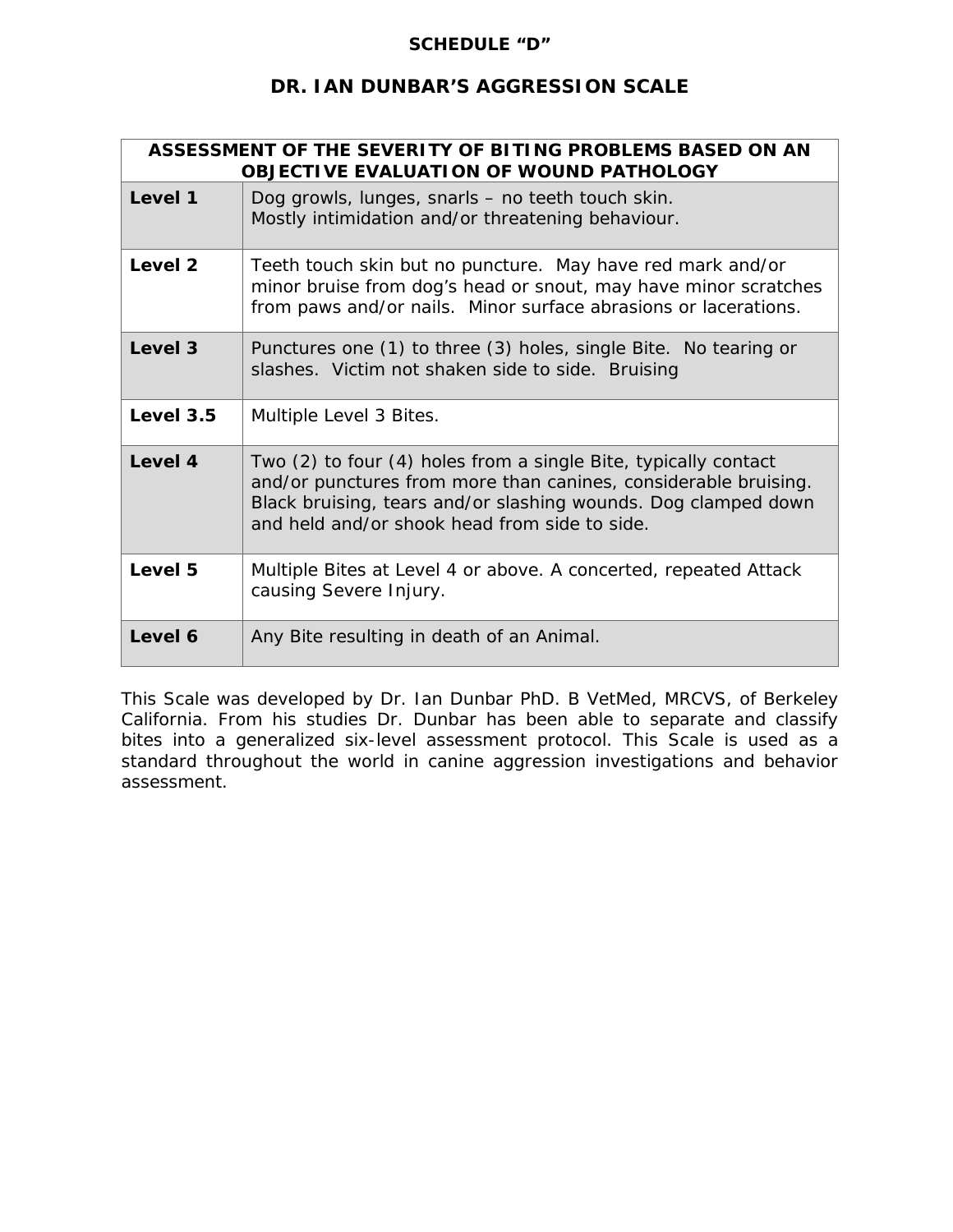#### **SCHEDULE "D"**

# **DR. IAN DUNBAR'S AGGRESSION SCALE**

| ASSESSMENT OF THE SEVERITY OF BITING PROBLEMS BASED ON AN<br><b>OBJECTIVE EVALUATION OF WOUND PATHOLOGY</b> |                                                                                                                                                                                                                                                       |
|-------------------------------------------------------------------------------------------------------------|-------------------------------------------------------------------------------------------------------------------------------------------------------------------------------------------------------------------------------------------------------|
| Level 1                                                                                                     | Dog growls, lunges, snarls - no teeth touch skin.<br>Mostly intimidation and/or threatening behaviour.                                                                                                                                                |
| Level 2                                                                                                     | Teeth touch skin but no puncture. May have red mark and/or<br>minor bruise from dog's head or snout, may have minor scratches<br>from paws and/or nails. Minor surface abrasions or lacerations.                                                      |
| Level 3                                                                                                     | Punctures one (1) to three (3) holes, single Bite. No tearing or<br>slashes. Victim not shaken side to side. Bruising                                                                                                                                 |
| Level 3.5                                                                                                   | Multiple Level 3 Bites.                                                                                                                                                                                                                               |
| Level 4                                                                                                     | Two (2) to four (4) holes from a single Bite, typically contact<br>and/or punctures from more than canines, considerable bruising.<br>Black bruising, tears and/or slashing wounds. Dog clamped down<br>and held and/or shook head from side to side. |
| Level 5                                                                                                     | Multiple Bites at Level 4 or above. A concerted, repeated Attack<br>causing Severe Injury.                                                                                                                                                            |
| Level 6                                                                                                     | Any Bite resulting in death of an Animal.                                                                                                                                                                                                             |

This Scale was developed by Dr. Ian Dunbar PhD. B VetMed, MRCVS, of Berkeley California. From his studies Dr. Dunbar has been able to separate and classify bites into a generalized six-level assessment protocol. This Scale is used as a standard throughout the world in canine aggression investigations and behavior assessment.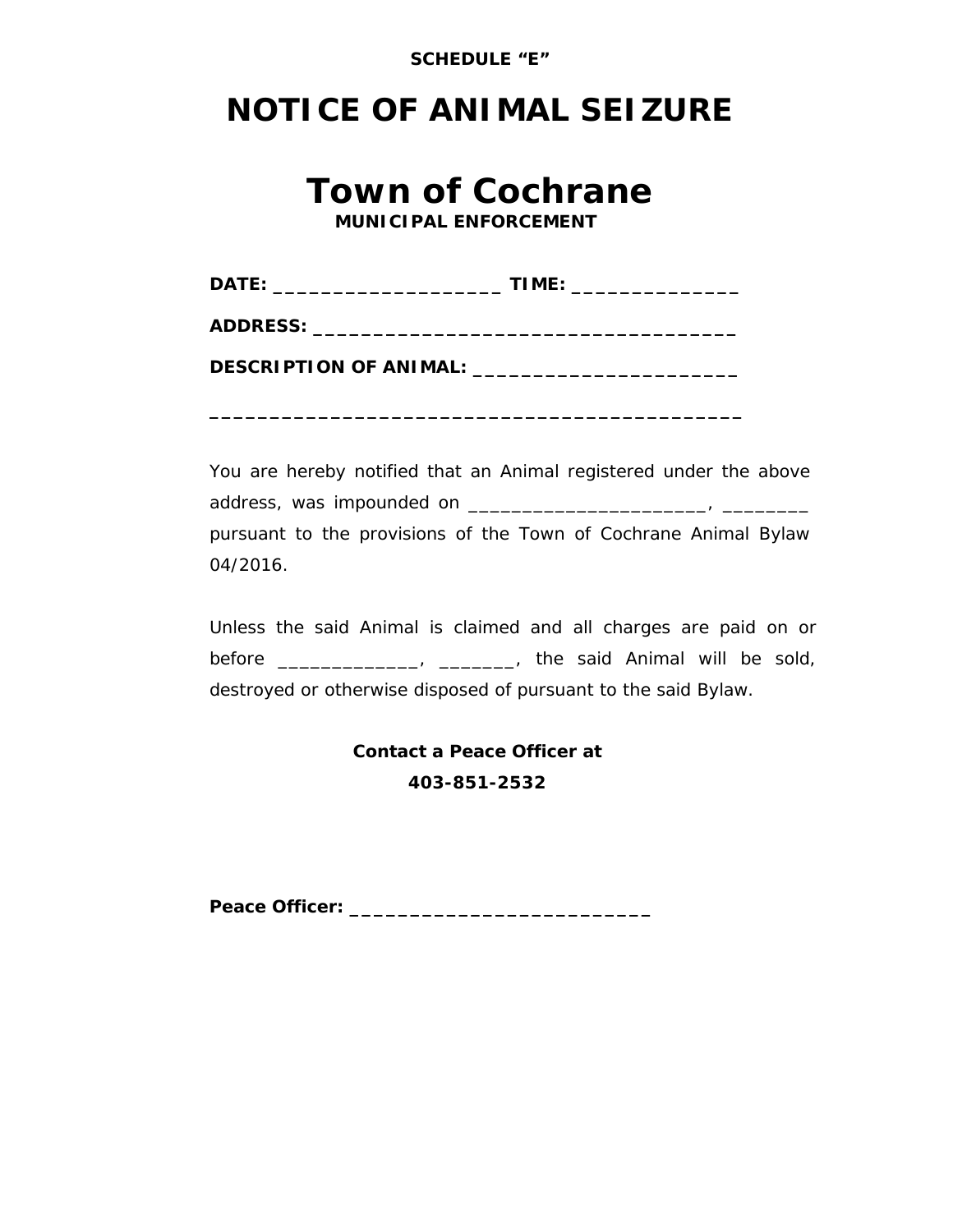

# **NOTICE OF ANIMAL SEIZURE**

# **Town of Cochrane** *MUNICIPAL ENFORCEMENT*

**ADDRESS: \_\_\_\_\_\_\_\_\_\_\_\_\_\_\_\_\_\_\_\_\_\_\_\_\_\_\_\_\_\_\_\_\_\_\_**

**DESCRIPTION OF ANIMAL: \_\_\_\_\_\_\_\_\_\_\_\_\_\_\_\_\_\_\_\_\_\_**

**\_\_\_\_\_\_\_\_\_\_\_\_\_\_\_\_\_\_\_\_\_\_\_\_\_\_\_\_\_\_\_\_\_\_\_\_\_\_\_\_\_\_\_\_**

You are hereby notified that an Animal registered under the above address, was impounded on \_\_\_\_\_\_\_\_\_\_\_\_\_\_\_\_\_\_\_\_\_\_, \_\_\_\_\_\_\_\_ pursuant to the provisions of the Town of Cochrane Animal Bylaw 04/2016.

Unless the said Animal is claimed and all charges are paid on or before \_\_\_\_\_\_\_\_\_\_\_\_\_\_, \_\_\_\_\_\_\_, the said Animal will be sold, destroyed or otherwise disposed of pursuant to the said Bylaw.

> **Contact a Peace Officer at 403-851-2532**

**Peace Officer: \_\_\_\_\_\_\_\_\_\_\_\_\_\_\_\_\_\_\_\_\_\_\_\_\_**